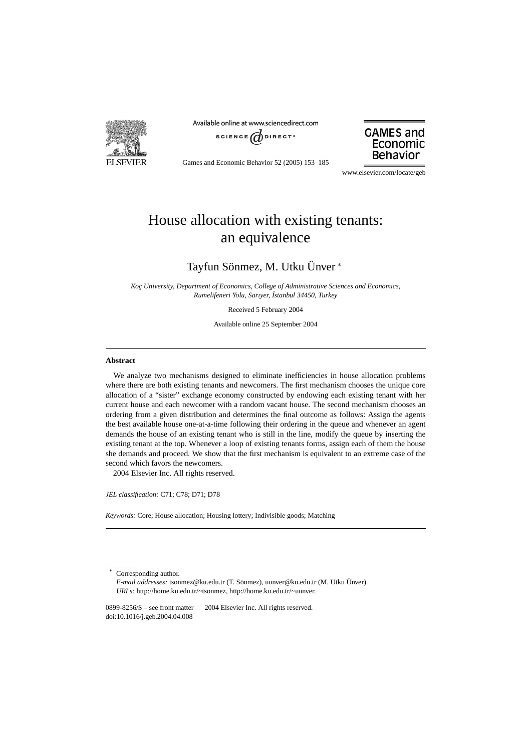

Available online at www.sciencedirect.com





Games and Economic Behavior 52 (2005) 153–185

www.elsevier.com/locate/geb

# House allocation with existing tenants: an equivalence

Tayfun Sönmez, M. Utku Ünver <sup>∗</sup>

*Koç University, Department of Economics, College of Administrative Sciences and Economics, Rumelifeneri Yolu, Sarıyer, ˙Istanbul 34450, Turkey*

Received 5 February 2004

Available online 25 September 2004

#### **Abstract**

We analyze two mechanisms designed to eliminate inefficiencies in house allocation problems where there are both existing tenants and newcomers. The first mechanism chooses the unique core allocation of a "sister" exchange economy constructed by endowing each existing tenant with her current house and each newcomer with a random vacant house. The second mechanism chooses an ordering from a given distribution and determines the final outcome as follows: Assign the agents the best available house one-at-a-time following their ordering in the queue and whenever an agent demands the house of an existing tenant who is still in the line, modify the queue by inserting the existing tenant at the top. Whenever a loop of existing tenants forms, assign each of them the house she demands and proceed. We show that the first mechanism is equivalent to an extreme case of the second which favors the newcomers.

2004 Elsevier Inc. All rights reserved.

*JEL classification:* C71; C78; D71; D78

*Keywords:* Core; House allocation; Housing lottery; Indivisible goods; Matching

Corresponding author.

*E-mail addresses:* tsonmez@ku.edu.tr (T. Sönmez), uunver@ku.edu.tr (M. Utku Ünver). *URLs:* http://home.ku.edu.tr/~tsonmez, http://home.ku.edu.tr/~uunver.

0899-8256/\$ – see front matter  $\degree$  2004 Elsevier Inc. All rights reserved. doi:10.1016/j.geb.2004.04.008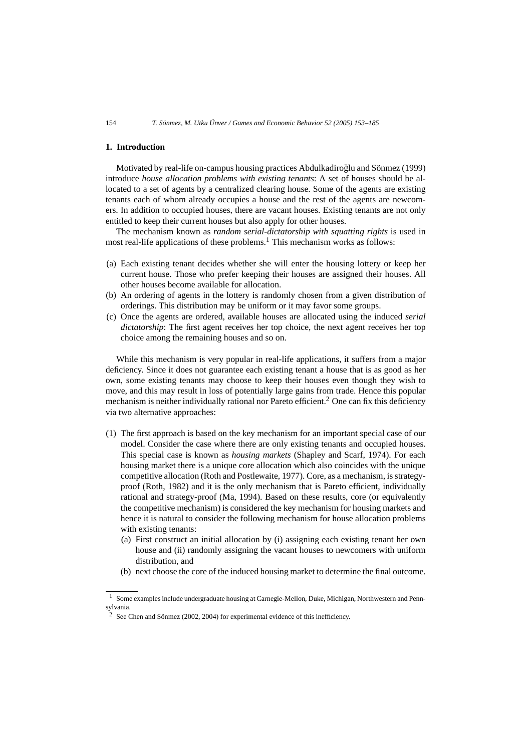# **1. Introduction**

Motivated by real-life on-campus housing practices Abdulkadiroğlu and Sönmez (1999) introduce *house allocation problems with existing tenants*: A set of houses should be allocated to a set of agents by a centralized clearing house. Some of the agents are existing tenants each of whom already occupies a house and the rest of the agents are newcomers. In addition to occupied houses, there are vacant houses. Existing tenants are not only entitled to keep their current houses but also apply for other houses.

The mechanism known as *random serial-dictatorship with squatting rights* is used in most real-life applications of these problems.<sup>1</sup> This mechanism works as follows:

- (a) Each existing tenant decides whether she will enter the housing lottery or keep her current house. Those who prefer keeping their houses are assigned their houses. All other houses become available for allocation.
- (b) An ordering of agents in the lottery is randomly chosen from a given distribution of orderings. This distribution may be uniform or it may favor some groups.
- (c) Once the agents are ordered, available houses are allocated using the induced *serial dictatorship*: The first agent receives her top choice, the next agent receives her top choice among the remaining houses and so on.

While this mechanism is very popular in real-life applications, it suffers from a major deficiency. Since it does not guarantee each existing tenant a house that is as good as her own, some existing tenants may choose to keep their houses even though they wish to move, and this may result in loss of potentially large gains from trade. Hence this popular mechanism is neither individually rational nor Pareto efficient.<sup>2</sup> One can fix this deficiency via two alternative approaches:

- (1) The first approach is based on the key mechanism for an important special case of our model. Consider the case where there are only existing tenants and occupied houses. This special case is known as *housing markets* (Shapley and Scarf, 1974). For each housing market there is a unique core allocation which also coincides with the unique competitive allocation (Roth and Postlewaite, 1977). Core, as a mechanism, is strategyproof (Roth, 1982) and it is the only mechanism that is Pareto efficient, individually rational and strategy-proof (Ma, 1994). Based on these results, core (or equivalently the competitive mechanism) is considered the key mechanism for housing markets and hence it is natural to consider the following mechanism for house allocation problems with existing tenants:
	- (a) First construct an initial allocation by (i) assigning each existing tenant her own house and (ii) randomly assigning the vacant houses to newcomers with uniform distribution, and
	- (b) next choose the core of the induced housing market to determine the final outcome.

<sup>1</sup> Some examples include undergraduate housing at Carnegie-Mellon, Duke, Michigan, Northwestern and Pennsylvania.

 $2$  See Chen and Sönmez (2002, 2004) for experimental evidence of this inefficiency.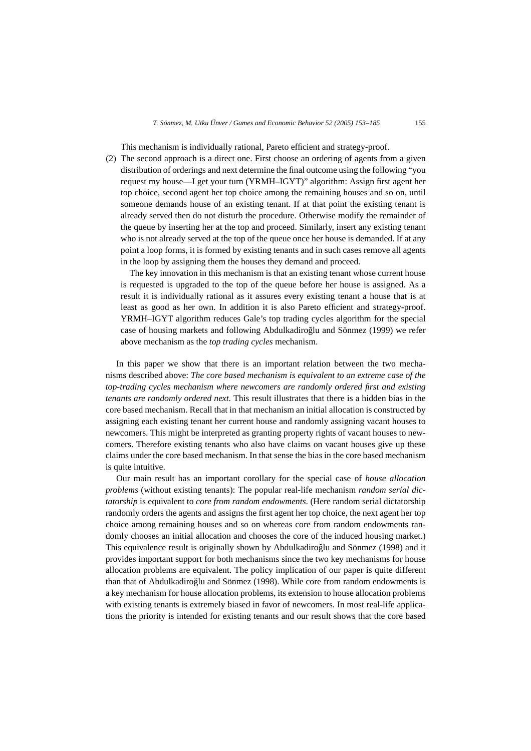This mechanism is individually rational, Pareto efficient and strategy-proof.

(2) The second approach is a direct one. First choose an ordering of agents from a given distribution of orderings and next determine the final outcome using the following "you request my house—I get your turn (YRMH–IGYT)" algorithm: Assign first agent her top choice, second agent her top choice among the remaining houses and so on, until someone demands house of an existing tenant. If at that point the existing tenant is already served then do not disturb the procedure. Otherwise modify the remainder of the queue by inserting her at the top and proceed. Similarly, insert any existing tenant who is not already served at the top of the queue once her house is demanded. If at any point a loop forms, it is formed by existing tenants and in such cases remove all agents in the loop by assigning them the houses they demand and proceed.

The key innovation in this mechanism is that an existing tenant whose current house is requested is upgraded to the top of the queue before her house is assigned. As a result it is individually rational as it assures every existing tenant a house that is at least as good as her own. In addition it is also Pareto efficient and strategy-proof. YRMH–IGYT algorithm reduces Gale's top trading cycles algorithm for the special case of housing markets and following Abdulkadiroğlu and Sönmez (1999) we refer above mechanism as the *top trading cycles* mechanism.

In this paper we show that there is an important relation between the two mechanisms described above: *The core based mechanism is equivalent to an extreme case of the top-trading cycles mechanism where newcomers are randomly ordered first and existing tenants are randomly ordered next*. This result illustrates that there is a hidden bias in the core based mechanism. Recall that in that mechanism an initial allocation is constructed by assigning each existing tenant her current house and randomly assigning vacant houses to newcomers. This might be interpreted as granting property rights of vacant houses to newcomers. Therefore existing tenants who also have claims on vacant houses give up these claims under the core based mechanism. In that sense the bias in the core based mechanism is quite intuitive.

Our main result has an important corollary for the special case of *house allocation problems* (without existing tenants): The popular real-life mechanism *random serial dictatorship* is equivalent to *core from random endowments*. (Here random serial dictatorship randomly orders the agents and assigns the first agent her top choice, the next agent her top choice among remaining houses and so on whereas core from random endowments randomly chooses an initial allocation and chooses the core of the induced housing market.) This equivalence result is originally shown by Abdulkadiroglu and Sönmez (1998) and it provides important support for both mechanisms since the two key mechanisms for house allocation problems are equivalent. The policy implication of our paper is quite different than that of Abdulkadiroglu and Sönmez (1998). While core from random endowments is ˘ a key mechanism for house allocation problems, its extension to house allocation problems with existing tenants is extremely biased in favor of newcomers. In most real-life applications the priority is intended for existing tenants and our result shows that the core based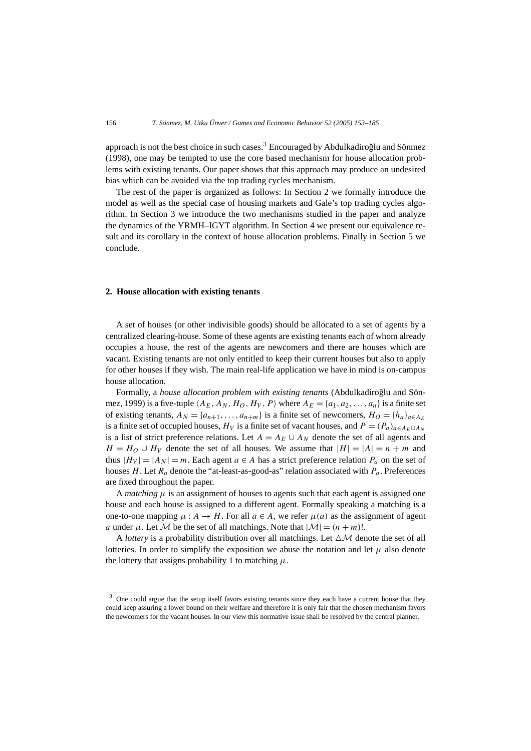approach is not the best choice in such cases.<sup>3</sup> Encouraged by Abdulkadiroglu and Sönmez (1998), one may be tempted to use the core based mechanism for house allocation problems with existing tenants. Our paper shows that this approach may produce an undesired bias which can be avoided via the top trading cycles mechanism.

The rest of the paper is organized as follows: In Section 2 we formally introduce the model as well as the special case of housing markets and Gale's top trading cycles algorithm. In Section 3 we introduce the two mechanisms studied in the paper and analyze the dynamics of the YRMH–IGYT algorithm. In Section 4 we present our equivalence result and its corollary in the context of house allocation problems. Finally in Section 5 we conclude.

# **2. House allocation with existing tenants**

A set of houses (or other indivisible goods) should be allocated to a set of agents by a centralized clearing-house. Some of these agents are existing tenants each of whom already occupies a house, the rest of the agents are newcomers and there are houses which are vacant. Existing tenants are not only entitled to keep their current houses but also to apply for other houses if they wish. The main real-life application we have in mind is on-campus house allocation.

Formally, a *house allocation problem with existing tenants* (Abdulkadiroğlu and Sönmez, 1999) is a five-tuple  $\langle A_E, A_N, H_O, H_V, P \rangle$  where  $A_E = \{a_1, a_2, \dots, a_n\}$  is a finite set of existing tenants,  $A_N = \{a_{n+1}, \ldots, a_{n+m}\}$  is a finite set of newcomers,  $H_O = \{h_a\}_{a \in A_F}$ is a finite set of occupied houses,  $H_V$  is a finite set of vacant houses, and  $P = (P_a)_{a \in A_F \cup A_N}$ is a list of strict preference relations. Let  $A = A_F \cup A_N$  denote the set of all agents and *H* = *H*<sup>O</sup> ∪ *H*<sup>V</sup> denote the set of all houses. We assume that  $|H| = |A| = n + m$  and thus  $|H_V| = |A_N| = m$ . Each agent  $a \in A$  has a strict preference relation  $P_a$  on the set of houses *H*. Let  $R_a$  denote the "at-least-as-good-as" relation associated with  $P_a$ . Preferences are fixed throughout the paper.

A *matching*  $\mu$  is an assignment of houses to agents such that each agent is assigned one house and each house is assigned to a different agent. Formally speaking a matching is a one-to-one mapping  $\mu : A \to H$ . For all  $a \in A$ , we refer  $\mu(a)$  as the assignment of agent *a* under  $\mu$ . Let M be the set of all matchings. Note that  $|\mathcal{M}| = (n + m)!$ .

A *lottery* is a probability distribution over all matchings. Let  $\triangle \mathcal{M}$  denote the set of all lotteries. In order to simplify the exposition we abuse the notation and let  $\mu$  also denote the lottery that assigns probability 1 to matching  $\mu$ .

<sup>3</sup> One could argue that the setup itself favors existing tenants since they each have a current house that they could keep assuring a lower bound on their welfare and therefore it is only fair that the chosen mechanism favors the newcomers for the vacant houses. In our view this normative issue shall be resolved by the central planner.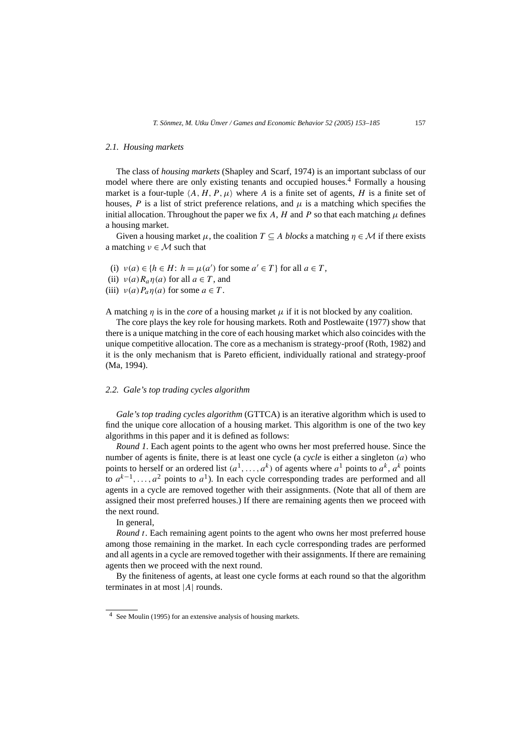#### *2.1. Housing markets*

The class of *housing markets* (Shapley and Scarf, 1974) is an important subclass of our model where there are only existing tenants and occupied houses.<sup>4</sup> Formally a housing market is a four-tuple  $\langle A, H, P, \mu \rangle$  where A is a finite set of agents, H is a finite set of houses, *P* is a list of strict preference relations, and  $\mu$  is a matching which specifies the initial allocation. Throughout the paper we fix *A*, *H* and *P* so that each matching  $\mu$  defines a housing market.

Given a housing market  $\mu$ , the coalition  $T \subseteq A$  *blocks* a matching  $\eta \in \mathcal{M}$  if there exists a matching  $v \in M$  such that

- (i)  $v(a) \in \{h \in H: h = \mu(a') \text{ for some } a' \in T\}$  for all  $a \in T$ ,
- (ii)  $v(a)R_a\eta(a)$  for all  $a \in T$ , and
- (iii)  $v(a)P_a\eta(a)$  for some  $a \in T$ .

A matching  $\eta$  is in the *core* of a housing market  $\mu$  if it is not blocked by any coalition.

The core plays the key role for housing markets. Roth and Postlewaite (1977) show that there is a unique matching in the core of each housing market which also coincides with the unique competitive allocation. The core as a mechanism is strategy-proof (Roth, 1982) and it is the only mechanism that is Pareto efficient, individually rational and strategy-proof (Ma, 1994).

# *2.2. Gale's top trading cycles algorithm*

*Gale's top trading cycles algorithm* (GTTCA) is an iterative algorithm which is used to find the unique core allocation of a housing market. This algorithm is one of the two key algorithms in this paper and it is defined as follows:

*Round 1*. Each agent points to the agent who owns her most preferred house. Since the number of agents is finite, there is at least one cycle (a *cycle* is either a singleton *(a)* who points to herself or an ordered list  $(a^1, \ldots, a^k)$  of agents where  $a^1$  points to  $a^k$ ,  $a^k$  points to  $a^{k-1}, \ldots, a^2$  points to  $a^1$ ). In each cycle corresponding trades are performed and all agents in a cycle are removed together with their assignments. (Note that all of them are assigned their most preferred houses.) If there are remaining agents then we proceed with the next round.

In general,

*Round t*. Each remaining agent points to the agent who owns her most preferred house among those remaining in the market. In each cycle corresponding trades are performed and all agents in a cycle are removed together with their assignments. If there are remaining agents then we proceed with the next round.

By the finiteness of agents, at least one cycle forms at each round so that the algorithm terminates in at most |*A*| rounds.

<sup>4</sup> See Moulin (1995) for an extensive analysis of housing markets.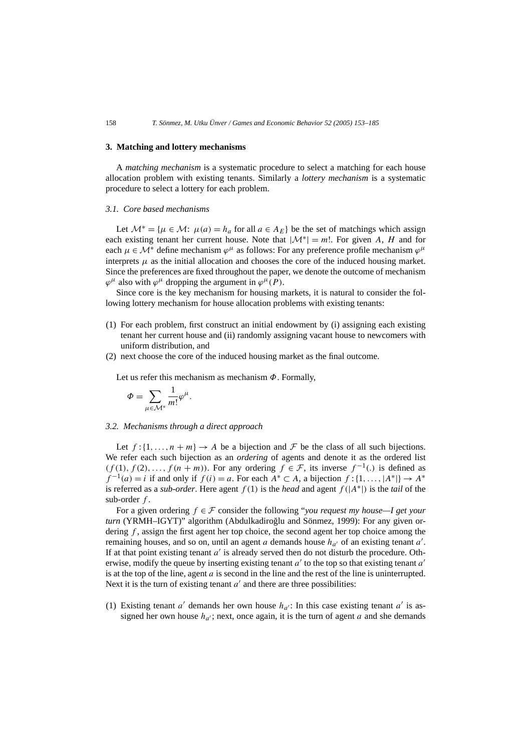# **3. Matching and lottery mechanisms**

A *matching mechanism* is a systematic procedure to select a matching for each house allocation problem with existing tenants. Similarly a *lottery mechanism* is a systematic procedure to select a lottery for each problem.

## *3.1. Core based mechanisms*

Let  $\mathcal{M}^* = \{ \mu \in \mathcal{M} : \mu(a) = h_a \text{ for all } a \in A_E \}$  be the set of matchings which assign each existing tenant her current house. Note that  $|M^*| = m!$ . For given A, H and for each  $\mu \in \mathcal{M}^*$  define mechanism  $\varphi^{\mu}$  as follows: For any preference profile mechanism  $\varphi^{\mu}$ interprets  $\mu$  as the initial allocation and chooses the core of the induced housing market. Since the preferences are fixed throughout the paper, we denote the outcome of mechanism  $\varphi^{\mu}$  also with  $\varphi^{\mu}$  dropping the argument in  $\varphi^{\mu}(P)$ .

Since core is the key mechanism for housing markets, it is natural to consider the following lottery mechanism for house allocation problems with existing tenants:

- (1) For each problem, first construct an initial endowment by (i) assigning each existing tenant her current house and (ii) randomly assigning vacant house to newcomers with uniform distribution, and
- (2) next choose the core of the induced housing market as the final outcome.

Let us refer this mechanism as mechanism *Φ*. Formally,

$$
\Phi = \sum_{\mu \in \mathcal{M}^*} \frac{1}{m!} \varphi^{\mu}.
$$

#### *3.2. Mechanisms through a direct approach*

Let  $f: \{1, \ldots, n+m\} \to A$  be a bijection and  $\mathcal F$  be the class of all such bijections. We refer each such bijection as an *ordering* of agents and denote it as the ordered list  $(f(1), f(2), \ldots, f(n+m))$ . For any ordering  $f \in \mathcal{F}$ , its inverse  $f^{-1}(.)$  is defined as *f*  $^{-1}(a) = i$  if and only if *f*  $(i) = a$ . For each  $A^* \subset A$ , a bijection  $f: \{1, ..., |A^*|\} \rightarrow A^*$ is referred as a *sub-order*. Here agent  $f(1)$  is the *head* and agent  $f(|A^*|)$  is the *tail* of the sub-order *f* .

For a given ordering *f* ∈ F consider the following "*you request my house—I get your* turn (YRMH-IGYT)" algorithm (Abdulkadiroğlu and Sönmez, 1999): For any given ordering *f* , assign the first agent her top choice, the second agent her top choice among the remaining houses, and so on, until an agent *a* demands house  $h_{a'}$  of an existing tenant  $a'$ . If at that point existing tenant  $a'$  is already served then do not disturb the procedure. Otherwise, modify the queue by inserting existing tenant  $a<sup>'</sup>$  to the top so that existing tenant  $a<sup>'</sup>$ is at the top of the line, agent *a* is second in the line and the rest of the line is uninterrupted. Next it is the turn of existing tenant  $a'$  and there are three possibilities:

(1) Existing tenant *a'* demands her own house  $h_{a'}$ : In this case existing tenant *a'* is assigned her own house  $h_{a'}$ ; next, once again, it is the turn of agent *a* and she demands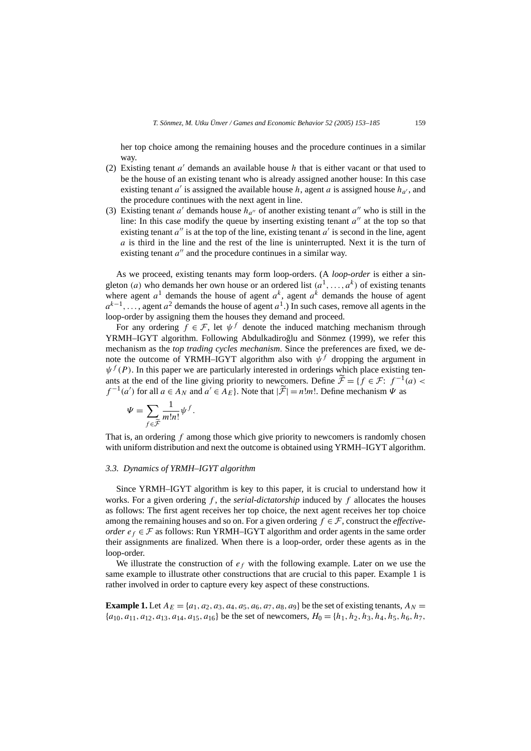her top choice among the remaining houses and the procedure continues in a similar way.

- (2) Existing tenant  $a'$  demands an available house  $h$  that is either vacant or that used to be the house of an existing tenant who is already assigned another house: In this case existing tenant *a'* is assigned the available house *h*, agent *a* is assigned house  $h_{a'}$ , and the procedure continues with the next agent in line.
- (3) Existing tenant *a'* demands house  $h_{a''}$  of another existing tenant  $a''$  who is still in the line: In this case modify the queue by inserting existing tenant  $a''$  at the top so that existing tenant  $a''$  is at the top of the line, existing tenant  $a'$  is second in the line, agent *a* is third in the line and the rest of the line is uninterrupted. Next it is the turn of existing tenant  $a^{\prime\prime}$  and the procedure continues in a similar way.

As we proceed, existing tenants may form loop-orders. (A *loop-order* is either a singleton *(a)* who demands her own house or an ordered list  $(a^1, \ldots, a^k)$  of existing tenants where agent  $a^1$  demands the house of agent  $a^k$ , agent  $a^k$  demands the house of agent  $a^{k-1}, \ldots$  agent  $a^2$  demands the house of agent  $a^1$ .) In such cases, remove all agents in the loop-order by assigning them the houses they demand and proceed.

For any ordering  $f \in \mathcal{F}$ , let  $\psi^f$  denote the induced matching mechanism through YRMH–IGYT algorithm. Following Abdulkadiroğlu and Sönmez (1999), we refer this mechanism as the *top trading cycles mechanism*. Since the preferences are fixed, we denote the outcome of YRMH–IGYT algorithm also with  $\psi^f$  dropping the argument in  $\psi^f(P)$ . In this paper we are particularly interested in orderings which place existing tenants at the end of the line giving priority to newcomers. Define  $\widetilde{\mathcal{F}} = \{f \in \mathcal{F}: f^{-1}(a)$  $f^{-1}(a')$  for all  $a \in A_N$  and  $a' \in A_E$ . Note that  $|\widetilde{\mathcal{F}}| = n!m!$ . Define mechanism  $\Psi$  as

$$
\Psi = \sum_{f \in \widetilde{\mathcal{F}}} \frac{1}{m!n!} \psi^f.
$$

That is, an ordering *f* among those which give priority to newcomers is randomly chosen with uniform distribution and next the outcome is obtained using YRMH–IGYT algorithm.

#### *3.3. Dynamics of YRMH–IGYT algorithm*

Since YRMH–IGYT algorithm is key to this paper, it is crucial to understand how it works. For a given ordering *f* , the *serial-dictatorship* induced by *f* allocates the houses as follows: The first agent receives her top choice, the next agent receives her top choice among the remaining houses and so on. For a given ordering  $f \in \mathcal{F}$ , construct the *effectiveorder*  $e_f \in \mathcal{F}$  as follows: Run YRMH–IGYT algorithm and order agents in the same order their assignments are finalized. When there is a loop-order, order these agents as in the loop-order.

We illustrate the construction of  $e_f$  with the following example. Later on we use the same example to illustrate other constructions that are crucial to this paper. Example 1 is rather involved in order to capture every key aspect of these constructions.

**Example 1.** Let  $A_F = \{a_1, a_2, a_3, a_4, a_5, a_6, a_7, a_8, a_9\}$  be the set of existing tenants,  $A_N =$  ${a_{10}, a_{11}, a_{12}, a_{13}, a_{14}, a_{15}, a_{16}}$  be the set of newcomers,  $H_0 = {h_1, h_2, h_3, h_4, h_5, h_6, h_7}$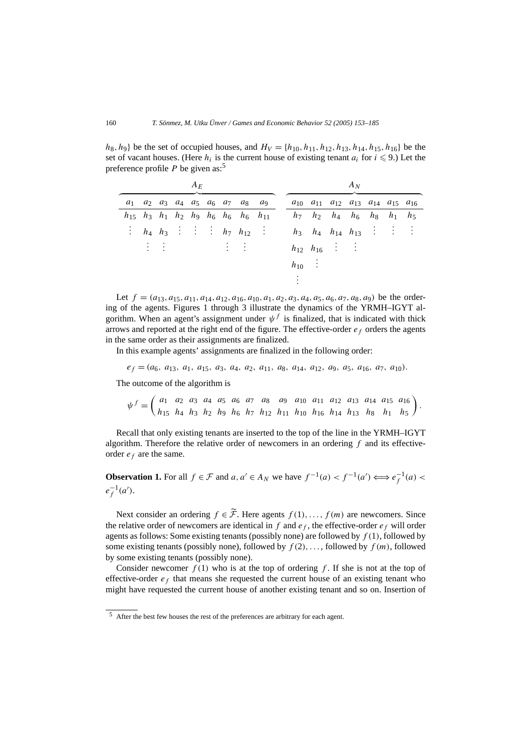*h*<sub>8</sub>*, h*<sub>9</sub>} be the set of occupied houses, and  $H_V = \{h_{10}, h_{11}, h_{12}, h_{13}, h_{14}, h_{15}, h_{16}\}$  be the set of vacant houses. (Here  $h_i$  is the current house of existing tenant  $a_i$  for  $i \le 9$ .) Let the preference profile  $P$  be given as:<sup>5</sup>

| $A_F$          |  |  |  |  |  |  |                                                       |                                                             | $A_N$                                                                  |                                           |  |  |  |  |  |
|----------------|--|--|--|--|--|--|-------------------------------------------------------|-------------------------------------------------------------|------------------------------------------------------------------------|-------------------------------------------|--|--|--|--|--|
|                |  |  |  |  |  |  | $a_1$ $a_2$ $a_3$ $a_4$ $a_5$ $a_6$ $a_7$ $a_8$ $a_9$ |                                                             | $a_{10}$ $a_{11}$ $a_{12}$ $a_{13}$ $a_{14}$ $a_{15}$ $a_{16}$         |                                           |  |  |  |  |  |
|                |  |  |  |  |  |  |                                                       | $h_{15}$ $h_3$ $h_1$ $h_2$ $h_9$ $h_6$ $h_6$ $h_6$ $h_{11}$ |                                                                        | $h_7$ $h_2$ $h_4$ $h_6$ $h_8$ $h_1$ $h_5$ |  |  |  |  |  |
| $\ddot{\cdot}$ |  |  |  |  |  |  |                                                       |                                                             | $h_4$ $h_3$ : : : $h_7$ $h_{12}$ : $h_3$ $h_4$ $h_{14}$ $h_{13}$ : : : |                                           |  |  |  |  |  |
|                |  |  |  |  |  |  | $1 - 1 - 1$                                           |                                                             |                                                                        | $h_{12}$ $h_{16}$ : :                     |  |  |  |  |  |
|                |  |  |  |  |  |  |                                                       |                                                             | $h_{10}$ :                                                             |                                           |  |  |  |  |  |
|                |  |  |  |  |  |  |                                                       |                                                             |                                                                        |                                           |  |  |  |  |  |

Let  $f = (a_{13}, a_{15}, a_{11}, a_{14}, a_{12}, a_{16}, a_{10}, a_1, a_2, a_3, a_4, a_5, a_6, a_7, a_8, a_9)$  be the ordering of the agents. Figures 1 through 3 illustrate the dynamics of the YRMH–IGYT algorithm. When an agent's assignment under  $\psi^f$  is finalized, that is indicated with thick arrows and reported at the right end of the figure. The effective-order *ef* orders the agents in the same order as their assignments are finalized.

In this example agents' assignments are finalized in the following order:

$$
e_f = (a_6, a_{13}, a_1, a_{15}, a_3, a_4, a_2, a_{11}, a_8, a_{14}, a_{12}, a_9, a_5, a_{16}, a_7, a_{10}).
$$

The outcome of the algorithm is

$$
\psi^f = \begin{pmatrix} a_1 & a_2 & a_3 & a_4 & a_5 & a_6 & a_7 & a_8 & a_9 & a_{10} & a_{11} & a_{12} & a_{13} & a_{14} & a_{15} & a_{16} \\ h_{15} & h_4 & h_3 & h_2 & h_9 & h_6 & h_7 & h_{12} & h_{11} & h_{10} & h_{16} & h_{14} & h_{13} & h_8 & h_1 & h_5 \end{pmatrix}.
$$

Recall that only existing tenants are inserted to the top of the line in the YRMH–IGYT algorithm. Therefore the relative order of newcomers in an ordering *f* and its effectiveorder  $e_f$  are the same.

**Observation 1.** For all  $f \in \mathcal{F}$  and  $a, a' \in A_N$  we have  $f^{-1}(a) < f^{-1}(a') \Longleftrightarrow e_f^{-1}(a) < f^{-1}(a)$  $e_f^{-1}(a').$ 

Next consider an ordering  $f \in \mathcal{F}$ . Here agents  $f(1), \ldots, f(m)$  are newcomers. Since the relative order of newcomers are identical in  $f$  and  $e_f$ , the effective-order  $e_f$  will order agents as follows: Some existing tenants (possibly none) are followed by *f (*1*)*, followed by some existing tenants (possibly none), followed by *f (*2*), . . .* , followed by *f (m)*, followed by some existing tenants (possibly none).

Consider newcomer  $f(1)$  who is at the top of ordering  $f$ . If she is not at the top of effective-order  $e_f$  that means she requested the current house of an existing tenant who might have requested the current house of another existing tenant and so on. Insertion of

<sup>5</sup> After the best few houses the rest of the preferences are arbitrary for each agent.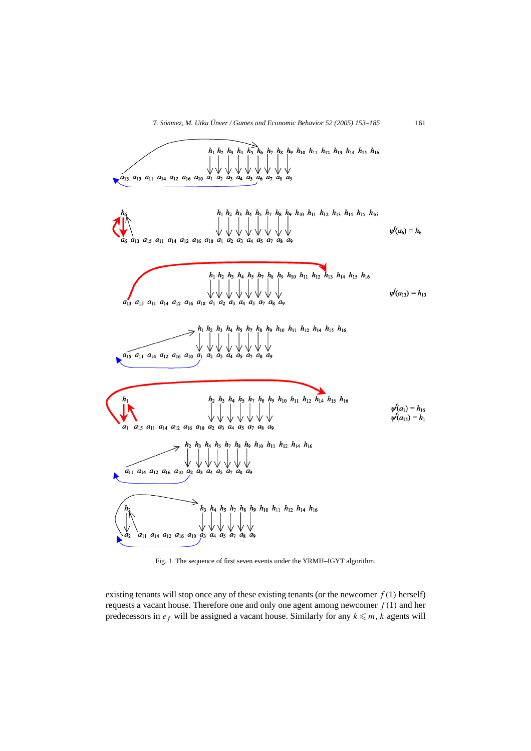

Fig. 1. The sequence of first seven events under the YRMH–IGYT algorithm.

existing tenants will stop once any of these existing tenants (or the newcomer  $f(1)$  herself) requests a vacant house. Therefore one and only one agent among newcomer *f (*1*)* and her predecessors in  $e_f$  will be assigned a vacant house. Similarly for any  $k \le m$ , *k* agents will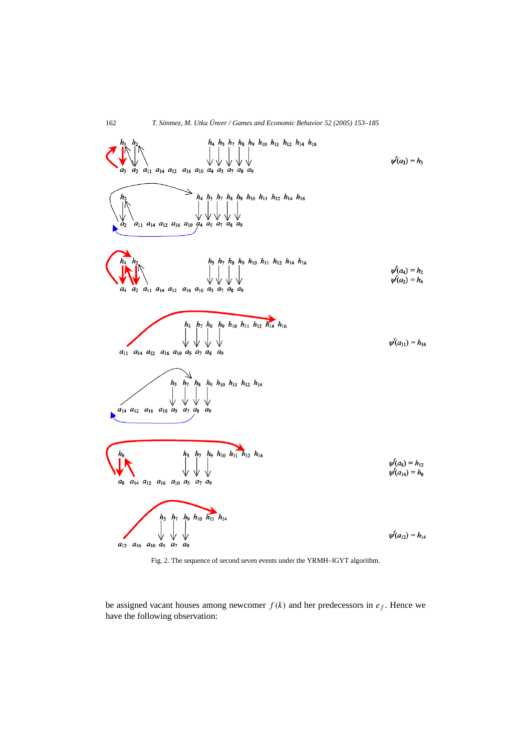

Fig. 2. The sequence of second seven events under the YRMH–IGYT algorithm.

be assigned vacant houses among newcomer  $f(k)$  and her predecessors in  $e_f$ . Hence we have the following observation: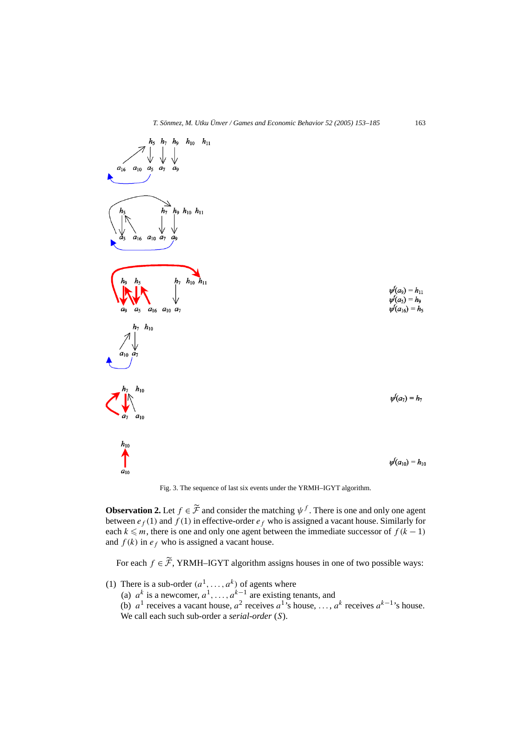

Fig. 3. The sequence of last six events under the YRMH–IGYT algorithm.

**Observation 2.** Let  $f \in \widetilde{\mathcal{F}}$  and consider the matching  $\psi^f$ . There is one and only one agent between  $e_f(1)$  and  $f(1)$  in effective-order  $e_f$  who is assigned a vacant house. Similarly for each  $k \leq m$ , there is one and only one agent between the immediate successor of  $f(k - 1)$ and  $f(k)$  in  $e_f$  who is assigned a vacant house.

For each  $f \in \mathcal{F}$ , YRMH–IGYT algorithm assigns houses in one of two possible ways:

(1) There is a sub-order  $(a^1, \ldots, a^k)$  of agents where (a)  $a^k$  is a newcomer,  $a^1, \ldots, a^{k-1}$  are existing tenants, and (b)  $a^1$  receives a vacant house,  $a^2$  receives  $a^1$ 's house,  $\ldots$ ,  $a^k$  receives  $a^{k-1}$ 's house. We call each such sub-order a *serial-order* (*S*).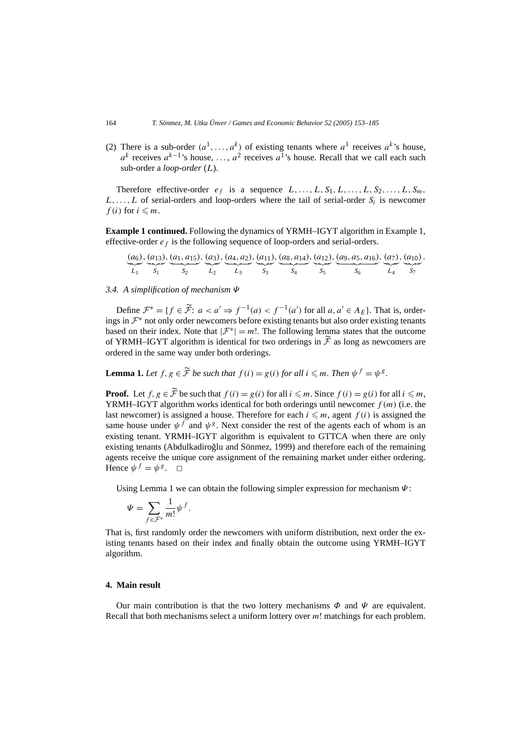(2) There is a sub-order  $(a^1, \ldots, a^k)$  of existing tenants where  $a^1$  receives  $a^k$ 's house,  $a^k$  receives  $a^{k-1}$ 's house, ...,  $a^2$  receives  $a^1$ 's house. Recall that we call each such sub-order a *loop-order* (*L*).

Therefore effective-order  $e_f$  is a sequence  $L, \ldots, L, S_1, L, \ldots, L, S_2, \ldots, L, S_m$ ,  $L, \ldots, L$  of serial-orders and loop-orders where the tail of serial-order  $S_i$  is newcomer *f* (*i*) for  $i \leq m$ .

**Example 1 continued.** Following the dynamics of YRMH–IGYT algorithm in Example 1, effective-order  $e_f$  is the following sequence of loop-orders and serial-orders.

$$
\underbrace{(a_6)}_{L_1}, \underbrace{(a_{13})}_{S_1}, \underbrace{(a_1, a_{15})}_{S_2}, \underbrace{(a_3)}_{L_2}, \underbrace{(a_4, a_2)}_{L_3}, \underbrace{(a_{11})}_{S_3}, \underbrace{(a_8, a_{14})}_{S_4}, \underbrace{(a_{12})}_{S_5}, \underbrace{(a_9, a_5, a_{16})}_{S_6}, \underbrace{(a_7)}_{L_4}, \underbrace{(a_{10})}_{S_7}.
$$

*3.4. A simplification of mechanism Ψ*

Define  $\mathcal{F}^* = \{f \in \tilde{\mathcal{F}}: a < a' \Rightarrow f^{-1}(a) < f^{-1}(a') \text{ for all } a, a' \in A_E\}.$  That is, orderings in  $\mathcal{F}^*$  not only order new comers before existing tenants but also order existing tenants based on their index. Note that  $|\mathcal{F}^*| = m!$ . The following lemma states that the outcome of YRMH–IGYT algorithm is identical for two orderings in  $\mathcal F$  as long as newcomers are ordered in the same way under both orderings.

**Lemma 1.** Let  $f, g \in \widetilde{\mathcal{F}}$  be such that  $f(i) = g(i)$  for all  $i \leq m$ . Then  $\psi^f = \psi^g$ .

**Proof.** Let  $f, g \in \mathcal{F}$  be such that  $f(i) = g(i)$  for all  $i \le m$ . Since  $f(i) = g(i)$  for all  $i \le m$ , YRMH–IGYT algorithm works identical for both orderings until newcomer *f (m)* (i.e. the last newcomer) is assigned a house. Therefore for each  $i \leq m$ , agent  $f(i)$  is assigned the same house under  $\psi^f$  and  $\psi^g$ . Next consider the rest of the agents each of whom is an existing tenant. YRMH–IGYT algorithm is equivalent to GTTCA when there are only existing tenants (Abdulkadiroğlu and Sönmez, 1999) and therefore each of the remaining agents receive the unique core assignment of the remaining market under either ordering. Hence  $\psi^f = \psi^g$ .  $\Box$ 

Using Lemma 1 we can obtain the following simpler expression for mechanism *Ψ* :

$$
\Psi = \sum_{f \in \mathcal{F}^*} \frac{1}{m!} \psi^f.
$$

That is, first randomly order the newcomers with uniform distribution, next order the existing tenants based on their index and finally obtain the outcome using YRMH–IGYT algorithm.

## **4. Main result**

Our main contribution is that the two lottery mechanisms  $\Phi$  and  $\Psi$  are equivalent. Recall that both mechanisms select a uniform lottery over *m*! matchings for each problem.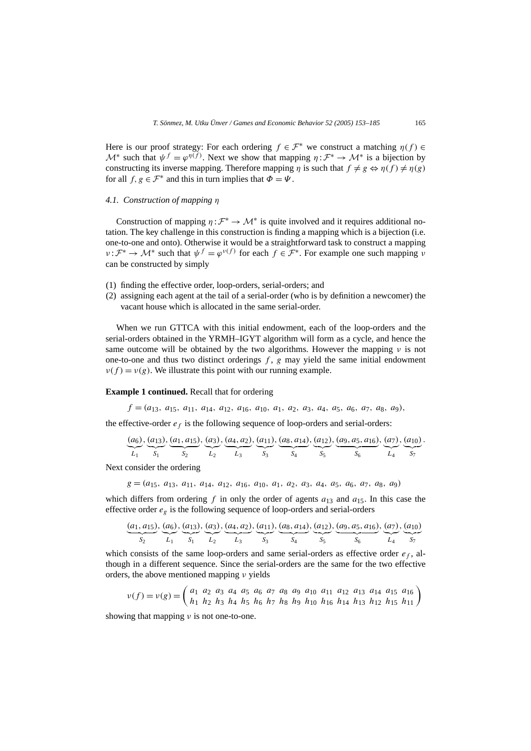Here is our proof strategy: For each ordering  $f \in \mathcal{F}^*$  we construct a matching  $\eta(f) \in$  $\mathcal{M}^*$  such that  $\psi^f = \varphi^{\eta(f)}$ . Next we show that mapping  $\eta : \mathcal{F}^* \to \mathcal{M}^*$  is a bijection by constructing its inverse mapping. Therefore mapping *η* is such that  $f \neq g \Leftrightarrow \eta(f) \neq \eta(g)$ for all  $f, g \in \mathcal{F}^*$  and this in turn implies that  $\Phi = \Psi$ .

# *4.1. Construction of mapping η*

Construction of mapping  $n: \mathcal{F}^* \to \mathcal{M}^*$  is quite involved and it requires additional notation. The key challenge in this construction is finding a mapping which is a bijection (i.e. one-to-one and onto). Otherwise it would be a straightforward task to construct a mapping *ν*:  $\mathcal{F}^* \to \mathcal{M}^*$  such that  $\psi^f = \varphi^{v(f)}$  for each  $f \in \mathcal{F}^*$ . For example one such mapping *ν* can be constructed by simply

- (1) finding the effective order, loop-orders, serial-orders; and
- (2) assigning each agent at the tail of a serial-order (who is by definition a newcomer) the vacant house which is allocated in the same serial-order.

When we run GTTCA with this initial endowment, each of the loop-orders and the serial-orders obtained in the YRMH–IGYT algorithm will form as a cycle, and hence the same outcome will be obtained by the two algorithms. However the mapping *ν* is not one-to-one and thus two distinct orderings  $f$ ,  $g$  may yield the same initial endowment  $\nu(f) = \nu(g)$ . We illustrate this point with our running example.

## **Example 1 continued.** Recall that for ordering

$$
f = (a_{13}, a_{15}, a_{11}, a_{14}, a_{12}, a_{16}, a_{10}, a_1, a_2, a_3, a_4, a_5, a_6, a_7, a_8, a_9),
$$

the effective-order  $e_f$  is the following sequence of loop-orders and serial-orders:

$$
\underbrace{(a_6)}_{L_1} , \underbrace{(a_{13})}_{S_1} , \underbrace{(a_1, a_{15})}_{S_2} , \underbrace{(a_3)}_{L_2} , \underbrace{(a_4, a_2)}_{L_3} , \underbrace{(a_{11})}_{S_3} , \underbrace{(a_8, a_{14})}_{S_4} , \underbrace{(a_{12})}_{S_5} , \underbrace{(a_9, a_5, a_{16})}_{S_6} , \underbrace{(a_7)}_{L_4} , \underbrace{(a_{10})}_{S_7}.
$$

Next consider the ordering

$$
g = (a_{15}, a_{13}, a_{11}, a_{14}, a_{12}, a_{16}, a_{10}, a_1, a_2, a_3, a_4, a_5, a_6, a_7, a_8, a_9)
$$

which differs from ordering  $f$  in only the order of agents  $a_{13}$  and  $a_{15}$ . In this case the effective order *eg* is the following sequence of loop-orders and serial-orders

$$
\underbrace{(a_1, a_{15})}_{S_2}, \underbrace{(a_6)}_{L_1}, \underbrace{(a_{13})}_{S_1}, \underbrace{(a_3)}_{L_2}, \underbrace{(a_4, a_2)}_{L_3}, \underbrace{(a_{11})}_{S_3}, \underbrace{(a_8, a_{14})}_{S_4}, \underbrace{(a_{12})}_{S_5}, \underbrace{(a_9, a_5, a_{16})}_{S_6}, \underbrace{(a_7)}_{L_4}, \underbrace{(a_{10})}_{S_7}
$$

which consists of the same loop-orders and same serial-orders as effective order  $e_f$ , although in a different sequence. Since the serial-orders are the same for the two effective orders, the above mentioned mapping *ν* yields

$$
v(f) = v(g) = \begin{pmatrix} a_1 & a_2 & a_3 & a_4 & a_5 & a_6 & a_7 & a_8 & a_9 & a_{10} & a_{11} & a_{12} & a_{13} & a_{14} & a_{15} & a_{16} \\ h_1 & h_2 & h_3 & h_4 & h_5 & h_6 & h_7 & h_8 & h_9 & h_{10} & h_{16} & h_{14} & h_{13} & h_{12} & h_{15} & h_{11} \end{pmatrix}
$$

showing that mapping *ν* is not one-to-one.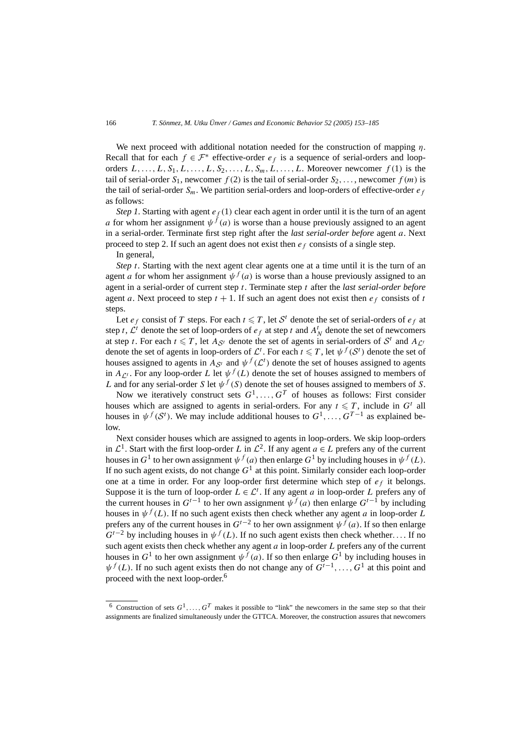We next proceed with additional notation needed for the construction of mapping *η*. Recall that for each  $f \in \mathcal{F}^*$  effective-order  $e_f$  is a sequence of serial-orders and looporders  $L, \ldots, L, S_1, L, \ldots, L, S_2, \ldots, L, S_m, L, \ldots, L$ . Moreover newcomer  $f(1)$  is the tail of serial-order  $S_1$ , newcomer  $f(2)$  is the tail of serial-order  $S_2, \ldots$ , newcomer  $f(m)$  is the tail of serial-order  $S_m$ . We partition serial-orders and loop-orders of effective-order  $e_f$ as follows:

*Step 1.* Starting with agent  $e_f(1)$  clear each agent in order until it is the turn of an agent *a* for whom her assignment  $\psi^f(a)$  is worse than a house previously assigned to an agent in a serial-order. Terminate first step right after the *last serial-order before* agent *a*. Next proceed to step 2. If such an agent does not exist then  $e_f$  consists of a single step.

#### In general,

*Step t*. Starting with the next agent clear agents one at a time until it is the turn of an agent *a* for whom her assignment  $\psi^f(a)$  is worse than a house previously assigned to an agent in a serial-order of current step *t*. Terminate step *t* after the *last serial-order before* agent *a*. Next proceed to step  $t + 1$ . If such an agent does not exist then  $e_f$  consists of *t* steps.

Let  $e_f$  consist of *T* steps. For each  $t \leq T$ , let  $S^t$  denote the set of serial-orders of  $e_f$  at step *t*,  $\mathcal{L}^t$  denote the set of loop-orders of  $e_f$  at step *t* and  $A_N^t$  denote the set of newcomers at step *t*. For each  $t \leq T$ , let  $A_{\mathcal{S}^t}$  denote the set of agents in serial-orders of  $\mathcal{S}^t$  and  $A_{\mathcal{L}^t}$ denote the set of agents in loop-orders of  $\mathcal{L}^t$ . For each  $t \leq T$ , let  $\psi^f(\mathcal{S}^t)$  denote the set of houses assigned to agents in  $A_{\mathcal{S}^t}$  and  $\psi^f(\mathcal{L}^t)$  denote the set of houses assigned to agents in  $A_{\mathcal{L}^t}$ . For any loop-order *L* let  $\psi^f(L)$  denote the set of houses assigned to members of *L* and for any serial-order *S* let  $\psi^f(S)$  denote the set of houses assigned to members of *S*.

Now we iteratively construct sets  $G^1, \ldots, G^T$  of houses as follows: First consider houses which are assigned to agents in serial-orders. For any  $t \leq T$ , include in  $G<sup>t</sup>$  all houses in  $\psi^f(\mathcal{S}^t)$ . We may include additional houses to  $G^1, \ldots, G^{T-1}$  as explained below.

Next consider houses which are assigned to agents in loop-orders. We skip loop-orders in  $\mathcal{L}^1$ . Start with the first loop-order *L* in  $\mathcal{L}^2$ . If any agent  $a \in L$  prefers any of the current houses in  $G^1$  to her own assignment  $\psi^f(a)$  then enlarge  $G^1$  by including houses in  $\psi^f(L)$ . If no such agent exists, do not change  $G<sup>1</sup>$  at this point. Similarly consider each loop-order one at a time in order. For any loop-order first determine which step of  $e_f$  it belongs. Suppose it is the turn of loop-order  $L \in \mathcal{L}^t$ . If any agent *a* in loop-order *L* prefers any of the current houses in  $G^{t-1}$  to her own assignment  $\psi^f(a)$  then enlarge  $G^{t-1}$  by including houses in  $\psi^f(L)$ . If no such agent exists then check whether any agent *a* in loop-order *L* prefers any of the current houses in  $G^{t-2}$  to her own assignment  $\psi^f(a)$ . If so then enlarge  $G^{t-2}$  by including houses in  $\psi^f(L)$ . If no such agent exists then check whether.... If no such agent exists then check whether any agent *a* in loop-order *L* prefers any of the current houses in  $G^1$  to her own assignment  $\psi^f(a)$ . If so then enlarge  $G^1$  by including houses in *ψ<sup>f</sup>* (*L*). If no such agent exists then do not change any of  $G<sup>t-1</sup>,...,G<sup>1</sup>$  at this point and proceed with the next loop-order.<sup>6</sup>

<sup>&</sup>lt;sup>6</sup> Construction of sets  $G^1, \ldots, G^T$  makes it possible to "link" the newcomers in the same step so that their assignments are finalized simultaneously under the GTTCA. Moreover, the construction assures that newcomers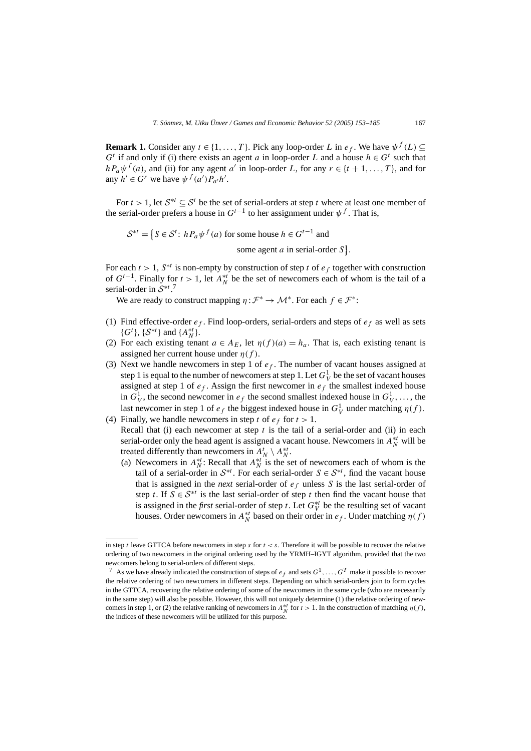**Remark 1.** Consider any  $t \in \{1, ..., T\}$ . Pick any loop-order *L* in  $e_f$ . We have  $\psi^f(L) \subset$  $G<sup>t</sup>$  if and only if (i) there exists an agent *a* in loop-order *L* and a house  $h \in G<sup>t</sup>$  such that  $hP_a\psi^f(a)$ , and (ii) for any agent *a*<sup>'</sup> in loop-order *L*, for any  $r \in \{t+1, ..., T\}$ , and for any  $h' \in G^r$  we have  $\psi^f(a')P_{a'}h'$ .

For  $t > 1$ , let  $S^{*t} \subseteq S^t$  be the set of serial-orders at step *t* where at least one member of the serial-order prefers a house in  $G^{t-1}$  to her assignment under  $\psi^f$ . That is,

 $\mathcal{S}^{*t} = \left\{ S \in \mathcal{S}^t : h P_a \psi^f(a) \text{ for some house } h \in G^{t-1} \text{ and } \right\}$ 

some agent *a* in serial-order  $S$ .

For each  $t > 1$ ,  $S^{*t}$  is non-empty by construction of step *t* of  $e_f$  together with construction of  $G^{t-1}$ . Finally for  $t > 1$ , let  $A_N^{*t}$  be the set of newcomers each of whom is the tail of a serial-order in  $S^*$ <sup>t</sup>.<sup>7</sup>

We are ready to construct mapping  $\eta : \mathcal{F}^* \to \mathcal{M}^*$ . For each  $f \in \mathcal{F}^*$ :

- (1) Find effective-order  $e_f$ . Find loop-orders, serial-orders and steps of  $e_f$  as well as sets  $\{G^t\}, \{S^{*t}\}$  and  $\{A_N^{*t}\}.$
- (2) For each existing tenant  $a \in A_E$ , let  $\eta(f)(a) = h_a$ . That is, each existing tenant is assigned her current house under  $\eta(f)$ .
- (3) Next we handle newcomers in step 1 of  $e_f$ . The number of vacant houses assigned at step 1 is equal to the number of newcomers at step 1. Let  $G_V^1$  be the set of vacant houses assigned at step 1 of  $e_f$ . Assign the first newcomer in  $e_f$  the smallest indexed house in  $G_V^1$ , the second newcomer in  $e_f$  the second smallest indexed house in  $G_V^1$ , ..., the last newcomer in step 1 of  $e_f$  the biggest indexed house in  $G_V^1$  under matching  $\eta(f)$ .
- (4) Finally, we handle new comers in step *t* of  $e_f$  for  $t > 1$ . Recall that (i) each newcomer at step *t* is the tail of a serial-order and (ii) in each serial-order only the head agent is assigned a vacant house. Newcomers in  $A_N^{*t}$  will be treated differently than newcomers in  $A_N^t \setminus A_N^{*t}$ .
	- (a) Newcomers in  $A_N^{*t}$ : Recall that  $A_N^{*t}$  is the set of newcomers each of whom is the tail of a serial-order in  $S^{*t}$ . For each serial-order  $S \in S^{*t}$ , find the vacant house that is assigned in the *next* serial-order of  $e_f$  unless  $S$  is the last serial-order of step *t*. If  $S \in S^{*t}$  is the last serial-order of step *t* then find the vacant house that is assigned in the *first* serial-order of step *t*. Let  $G_V^{*t}$  be the resulting set of vacant houses. Order newcomers in  $A_N^{*t}$  based on their order in  $e_f$ . Under matching  $\eta(f)$

in step *t* leave GTTCA before newcomers in step *s* for  $t < s$ . Therefore it will be possible to recover the relative ordering of two newcomers in the original ordering used by the YRMH–IGYT algorithm, provided that the two newcomers belong to serial-orders of different steps.

<sup>&</sup>lt;sup>7</sup> As we have already indicated the construction of steps of  $e_f$  and sets  $G^1, \ldots, G^T$  make it possible to recover the relative ordering of two newcomers in different steps. Depending on which serial-orders join to form cycles in the GTTCA, recovering the relative ordering of some of the newcomers in the same cycle (who are necessarily in the same step) will also be possible. However, this will not uniquely determine (1) the relative ordering of newcomers in step 1, or (2) the relative ranking of newcomers in  $A_N^{*t}$  for  $t > 1$ . In the construction of matching  $\eta(f)$ , the indices of these newcomers will be utilized for this purpose.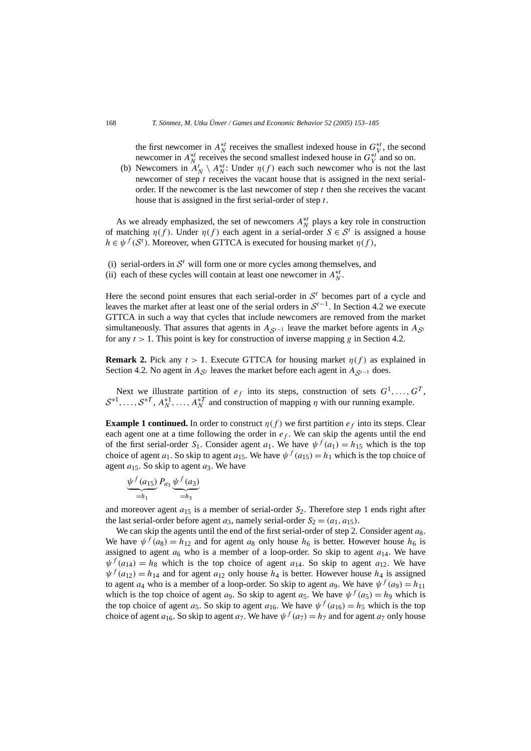the first newcomer in  $A_N^{*t}$  receives the smallest indexed house in  $G_V^{*t}$ , the second newcomer in  $A_N^*$  receives the second smallest indexed house in  $G_V^{*t}$  and so on.

(b) Newcomers in  $A_N^t \setminus A_N^{*t}$ : Under  $\eta(f)$  each such newcomer who is not the last newcomer of step *t* receives the vacant house that is assigned in the next serialorder. If the newcomer is the last newcomer of step *t* then she receives the vacant house that is assigned in the first serial-order of step *t*.

As we already emphasized, the set of newcomers  $A_N^{*t}$  plays a key role in construction of matching  $\eta(f)$ . Under  $\eta(f)$  each agent in a serial-order  $S \in \mathcal{S}^t$  is assigned a house  $h \in \psi^f(\mathcal{S}^t)$ . Moreover, when GTTCA is executed for housing market  $\eta(f)$ ,

- (i) serial-orders in  $S<sup>t</sup>$  will form one or more cycles among themselves, and
- (ii) each of these cycles will contain at least one newcomer in  $A_N^*$ .

Here the second point ensures that each serial-order in  $S<sup>t</sup>$  becomes part of a cycle and leaves the market after at least one of the serial orders in <sup>S</sup>*t*<sup>−</sup>1. In Section 4.2 we execute GTTCA in such a way that cycles that include newcomers are removed from the market simultaneously. That assures that agents in  $A_{\mathcal{S}_t-1}$  leave the market before agents in  $A_{\mathcal{S}_t}$ for any  $t > 1$ . This point is key for construction of inverse mapping g in Section 4.2.

**Remark 2.** Pick any  $t > 1$ . Execute GTTCA for housing market  $\eta(f)$  as explained in Section 4.2. No agent in  $A_{\mathcal{S}t}$  leaves the market before each agent in  $A_{\mathcal{S}t-1}$  does.

Next we illustrate partition of  $e_f$  into its steps, construction of sets  $G^1, \ldots, G^T$ ,  $S^{*1}, \ldots, S^{*T}, A_N^{*1}, \ldots, A_N^{*T}$  and construction of mapping *η* with our running example.

**Example 1 continued.** In order to construct  $\eta(f)$  we first partition  $e_f$  into its steps. Clear each agent one at a time following the order in  $e_f$ . We can skip the agents until the end of the first serial-order *S*<sub>1</sub>. Consider agent *a*<sub>1</sub>. We have  $\psi^f(a_1) = h_{15}$  which is the top choice of agent  $a_1$ . So skip to agent  $a_1$ 5. We have  $\psi^f(a_1) = h_1$  which is the top choice of agent  $a_{15}$ . So skip to agent  $a_3$ . We have

$$
\underbrace{\psi^f(a_{15})}_{=h_1} P_{a_3} \underbrace{\psi^f(a_3)}_{=h_3}
$$

and moreover agent  $a_{15}$  is a member of serial-order  $S_2$ . Therefore step 1 ends right after the last serial-order before agent  $a_3$ , namely serial-order  $S_2 = (a_1, a_{15})$ .

We can skip the agents until the end of the first serial-order of step 2. Consider agent *a*<sub>8</sub>. We have  $\psi^f(a_8) = h_{12}$  and for agent  $a_8$  only house  $h_6$  is better. However house  $h_6$  is assigned to agent  $a_6$  who is a member of a loop-order. So skip to agent  $a_{14}$ . We have  $\psi^f(a_{14}) = h_8$  which is the top choice of agent *a*<sub>14</sub>. So skip to agent *a*<sub>12</sub>. We have  $\psi^f(a_{12}) = h_{14}$  and for agent  $a_{12}$  only house  $h_4$  is better. However house  $h_4$  is assigned to agent *a*<sub>4</sub> who is a member of a loop-order. So skip to agent *a*<sub>9</sub>. We have  $\psi^f(a_9) = h_{11}$ which is the top choice of agent *a*<sub>9</sub>. So skip to agent *a*<sub>5</sub>. We have  $\psi^{f}(a_5) = h_9$  which is the top choice of agent  $a_5$ . So skip to agent  $a_{16}$ . We have  $\psi^f(a_{16}) = h_5$  which is the top choice of agent  $a_{16}$ . So skip to agent  $a_7$ . We have  $\psi^f(a_7) = h_7$  and for agent  $a_7$  only house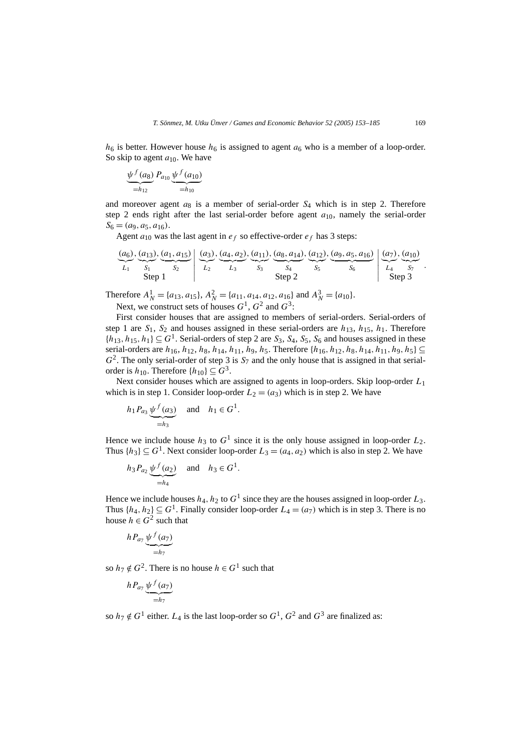$h_6$  is better. However house  $h_6$  is assigned to agent  $a_6$  who is a member of a loop-order. So skip to agent *a*10. We have

$$
\underbrace{\psi^f(a_8)}_{=h_{12}} P_{a_{10}} \underbrace{\psi^f(a_{10})}_{=h_{10}}
$$

and moreover agent  $a_8$  is a member of serial-order  $S_4$  which is in step 2. Therefore step 2 ends right after the last serial-order before agent  $a_{10}$ , namely the serial-order  $S_6 = (a_9, a_5, a_{16})$ .

Agent  $a_{10}$  was the last agent in  $e_f$  so effective-order  $e_f$  has 3 steps:

$$
\frac{(a_6)}{L_1}, \frac{(a_{13})}{s_1}, \frac{(a_1, a_{15})}{s_2} \n\middle| \n\frac{(a_3)}{L_2}, \frac{(a_4, a_2)}{L_3}, \frac{(a_{11})}{s_3}, \frac{(a_8, a_{14})}{s_4}, \frac{(a_{12})}{s_5}, \frac{(a_9, a_5, a_{16})}{s_6} \n\middle| \n\frac{(a_7)}{L_4}, \frac{(a_{10})}{s_7}, \frac{(a_{10})}{s_8}, \frac{(a_{11})}{s_9}, \frac{(a_{12})}{s_9}, \frac{(a_{13})}{s_9}, \frac{(a_{14})}{s_9}, \frac{(a_{15})}{s_1}, \frac{(a_{16})}{s_2}, \frac{(a_{17})}{s_3}, \frac{(a_{18})}{s_4}, \frac{(a_{19})}{s_5}, \frac{(a_{10})}{s_6}, \frac{(a_{11})}{s_7}, \frac{(a_{12})}{s_8}, \frac{(a_{13})}{s_9}, \frac{(a_{14})}{s_9}, \frac{(a_{15})}{s_1}, \frac{(a_{16})}{s_2}, \frac{(a_{17})}{s_3}, \frac{(a_{18})}{s_4}, \frac{(a_{19})}{s_5}, \frac{(a_{19})}{s_6}, \frac{(a_{10})}{s_7}, \frac{(a_{11})}{s_8}, \frac{(a_{12})}{s_9}, \frac{(a_{13})}{s_9}, \frac{(a_{14})}{s_9}, \frac{(a_{15})}{s_9}, \frac{(a_{16})}{s_9}, \frac{(a_{17})}{s_9}, \frac{(a_{18})}{s_9}, \frac{(a_{19})}{s_9}, \frac{(a_{19})}{s_9}, \frac{(a_{11})}{s_9}, \frac{(a_{11})}{s_9}, \frac{(a_{12})}{s_9}, \frac{(a_{13})}{s_9}, \frac{(a_{14})}{s_9}, \frac{(a_{15})}{s_9}, \frac{(a_{16})}{s_9}, \frac{(a_{17})}{s_9}, \frac{(a_{19})}{s_9}, \frac{(a_{11})}{s_9}, \frac{(a_{11})}{s_9}, \frac{(a_{12})}{s_9}, \frac{(a_{13})}{s_9}, \frac
$$

Therefore  $A_N^1 = \{a_{13}, a_{15}\}, A_N^2 = \{a_{11}, a_{14}, a_{12}, a_{16}\}$  and  $A_N^3 = \{a_{10}\}.$ Next, we construct sets of houses  $G^1$ ,  $G^2$  and  $G^3$ :

First consider houses that are assigned to members of serial-orders. Serial-orders of step 1 are  $S_1$ ,  $S_2$  and houses assigned in these serial-orders are  $h_{13}$ ,  $h_{15}$ ,  $h_1$ . Therefore  ${h_{13}, h_{15}, h_1} \subseteq G^1$ . Serial-orders of step 2 are *S*<sub>3</sub>, *S*<sub>4</sub>, *S*<sub>5</sub>, *S*<sub>6</sub> and houses assigned in these serial-orders are  $h_{16}$ ,  $h_{12}$ ,  $h_8$ ,  $h_{14}$ ,  $h_{11}$ ,  $h_9$ ,  $h_5$ . Therefore  $\{h_{16}, h_{12}, h_8, h_{14}, h_{11}, h_9, h_5\}$ *G*2. The only serial-order of step 3 is *S*<sup>7</sup> and the only house that is assigned in that serialorder is  $h_{10}$ . Therefore  $\{h_{10}\}\subset G^3$ .

Next consider houses which are assigned to agents in loop-orders. Skip loop-order *L*<sup>1</sup> which is in step 1. Consider loop-order  $L_2 = (a_3)$  which is in step 2. We have

$$
h_1 P_{a_3} \underbrace{\psi^f(a_3)}_{=h_3} \quad \text{and} \quad h_1 \in G^1.
$$

Hence we include house  $h_3$  to  $G^1$  since it is the only house assigned in loop-order  $L_2$ . Thus  $\{h_3\} \subset G^1$ . Next consider loop-order  $L_3 = (a_4, a_2)$  which is also in step 2. We have

$$
h_3 P_{a_2} \underbrace{\psi^f(a_2)}_{=h_4} \quad \text{and} \quad h_3 \in G^1.
$$

Hence we include houses  $h_4$ ,  $h_2$  to  $G^1$  since they are the houses assigned in loop-order  $L_3$ . Thus  $\{h_4, h_2\} \subseteq G^1$ . Finally consider loop-order  $L_4 = (a_7)$  which is in step 3. There is no house  $h \in G^2$  such that

$$
h P_{a_7} \underbrace{\psi^f(a_7)}_{=h_7}
$$

so  $h_7 \notin G^2$ . There is no house  $h \in G^1$  such that

$$
h P_{a_7} \underbrace{\psi^f(a_7)}_{=h_7}
$$

so  $h_7 \notin G^1$  either.  $L_4$  is the last loop-order so  $G^1$ ,  $G^2$  and  $G^3$  are finalized as:

*.*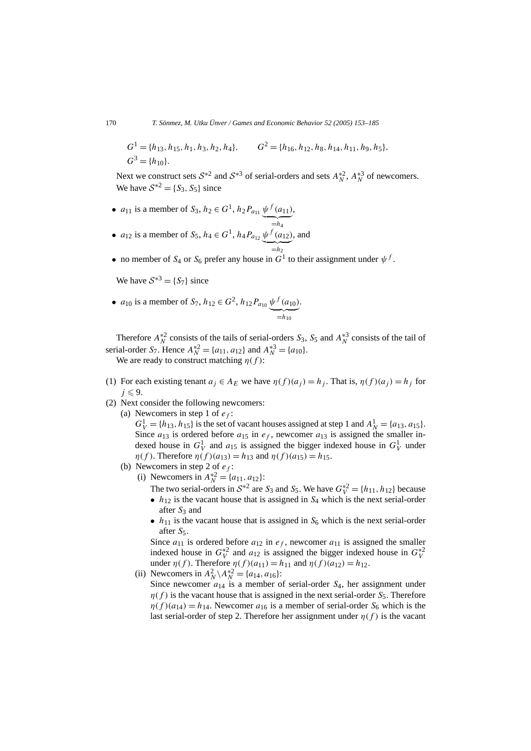$$
G1 = {h13, h15, h1, h3, h2, h4}, \tG2 = {h16, h12, h8, h14, h11, h9, h5},G3 = {h10}.
$$

Next we construct sets  $S^{*2}$  and  $S^{*3}$  of serial-orders and sets  $A_N^{*2}$ ,  $A_N^{*3}$  of newcomers. We have  $S^{*2} = \{S_3, S_5\}$  since

- *a*<sub>11</sub> is a member of *S*<sub>3</sub>, *h*<sub>2</sub>  $\in$  *G*<sup>1</sup>, *h*<sub>2</sub>*P*<sub>*a*<sub>11</sub></sub>  $\underbrace{\psi^f(a_{11})}_{=h_4}$ , • *a*<sub>12</sub> is a member of *S*<sub>5</sub>, *h*<sub>4</sub>  $\in$  *G*<sup>1</sup>, *h*<sub>4</sub>  $P_{a_{12}} \underbrace{\psi^f(a_{12})}_{=h_2}$ , and
- no member of *S*<sub>4</sub> or *S*<sub>6</sub> prefer any house in  $G<sup>1</sup>$  to their assignment under  $\psi<sup>f</sup>$ .

We have  $S^{*3} = \{S_7\}$  since

• *a*<sub>10</sub> is a member of *S*<sub>7</sub>, *h*<sub>12</sub>  $\in G^2$ , *h*<sub>12</sub>*P*<sub>*a*<sub>10</sub></sub>  $\underbrace{\psi^f(a_{10})}_{=h_{10}}$ .

Therefore  $A_N^{*2}$  consists of the tails of serial-orders *S*<sub>3</sub>, *S*<sub>5</sub> and  $A_N^{*3}$  consists of the tail of serial-order *S*<sub>7</sub>. Hence  $A_N^{*2} = \{a_{11}, a_{12}\}$  and  $A_N^{*3} = \{a_{10}\}.$ 

We are ready to construct matching  $n(f)$ :

- (1) For each existing tenant  $a_i \in A_E$  we have  $\eta(f)(a_i) = h_i$ . That is,  $\eta(f)(a_i) = h_i$  for  $j \leq 9$ .
- (2) Next consider the following newcomers:
	- (a) Newcomers in step 1 of  $e_f$ :

 $G_V^1 = \{h_{13}, h_{15}\}$  is the set of vacant houses assigned at step 1 and  $A_N^1 = \{a_{13}, a_{15}\}.$ Since  $a_{13}$  is ordered before  $a_{15}$  in  $e_f$ , newcomer  $a_{13}$  is assigned the smaller indexed house in  $G_V^1$  and  $a_{15}$  is assigned the bigger indexed house in  $G_V^1$  under *η*(*f*). Therefore  $\eta(f)(a_{13}) = h_{13}$  and  $\eta(f)(a_{15}) = h_{15}$ .

- (b) Newcomers in step 2 of  $e_f$ :
	- (i) Newcomers in  $A_N^{*2} = \{a_{11}, a_{12}\}$ :

The two serial-orders in  $S^{*2}$  are  $S_3$  and  $S_5$ . We have  $G_V^{*2} = \{h_{11}, h_{12}\}$  because •  $h_{12}$  is the vacant house that is assigned in  $S_4$  which is the next serial-order

- after  $S_3$  and
- $h_{11}$  is the vacant house that is assigned in  $S_6$  which is the next serial-order after *S*5.

Since  $a_{11}$  is ordered before  $a_{12}$  in  $e_f$ , newcomer  $a_{11}$  is assigned the smaller indexed house in  $G_V^{*2}$  and  $a_{12}$  is assigned the bigger indexed house in  $G_V^{*2}$ under  $\eta(f)$ . Therefore  $\eta(f)(a_{11}) = h_{11}$  and  $\eta(f)(a_{12}) = h_{12}$ .

(ii) Newcomers in  $A_N^2 \setminus A_N^{*2} = \{a_{14}, a_{16}\}$ :

Since newcomer  $a_{14}$  is a member of serial-order  $S_4$ , her assignment under  $\eta(f)$  is the vacant house that is assigned in the next serial-order *S*<sub>5</sub>. Therefore  $\eta(f)(a_{14}) = h_{14}$ . Newcomer  $a_{16}$  is a member of serial-order  $S_6$  which is the last serial-order of step 2. Therefore her assignment under  $\eta(f)$  is the vacant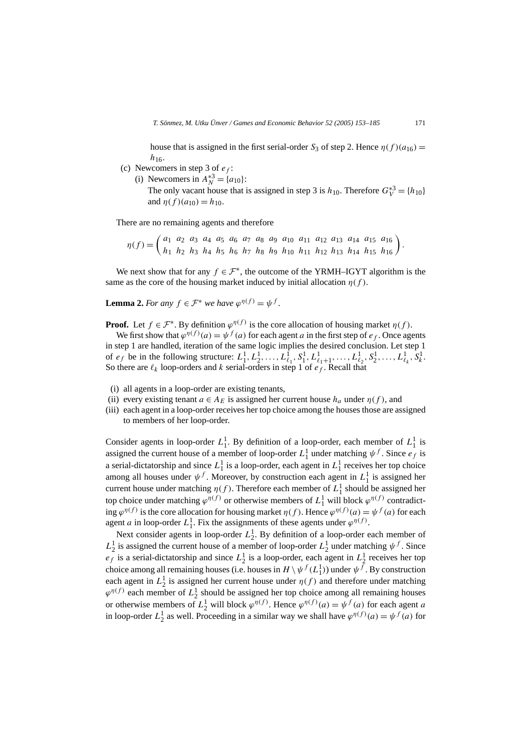house that is assigned in the first serial-order *S*<sub>3</sub> of step 2. Hence  $\eta(f)(a_{16}) =$ *h*16.

- (c) Newcomers in step 3 of  $e_f$ :
	- (i) Newcomers in  $A_N^{*3} = \{a_{10}\}$ :

The only vacant house that is assigned in step 3 is  $h_{10}$ . Therefore  $G_V^{*3} = \{h_{10}\}\$ and  $\eta(f)(a_{10}) = h_{10}$ .

There are no remaining agents and therefore

$$
\eta(f) = \begin{pmatrix} a_1 & a_2 & a_3 & a_4 & a_5 & a_6 & a_7 & a_8 & a_9 & a_{10} & a_{11} & a_{12} & a_{13} & a_{14} & a_{15} & a_{16} \\ h_1 & h_2 & h_3 & h_4 & h_5 & h_6 & h_7 & h_8 & h_9 & h_{10} & h_{11} & h_{12} & h_{13} & h_{14} & h_{15} & h_{16} \end{pmatrix}.
$$

We next show that for any  $f \in \mathcal{F}^*$ , the outcome of the YRMH–IGYT algorithm is the same as the core of the housing market induced by initial allocation  $\eta(f)$ .

**Lemma 2.** *For any*  $f \in \mathcal{F}^*$  *we have*  $\varphi^{\eta(f)} = \psi^f$ .

**Proof.** Let  $f \in \mathcal{F}^*$ . By definition  $\varphi^{\eta(f)}$  is the core allocation of housing market  $\eta(f)$ .

We first show that  $\varphi^{\eta(f)}(a) = \psi^f(a)$  for each agent *a* in the first step of  $e_f$ . Once agents in step 1 are handled, iteration of the same logic implies the desired conclusion. Let step 1 of  $e_f$  be in the following structure:  $L_1^1, L_2^1, \ldots, L_{\ell_1}^1, S_1^1, L_{\ell_1+1}^1, \ldots, L_{\ell_2}^1, S_2^1, \ldots, L_{\ell_k}^1, S_k^1$ . So there are  $\ell_k$  loop-orders and  $k$  serial-orders in step 1 of  $e_f$ . Recall that

- (i) all agents in a loop-order are existing tenants,
- (ii) every existing tenant  $a \in A_E$  is assigned her current house  $h_a$  under  $\eta(f)$ , and
- (iii) each agent in a loop-order receives her top choice among the houses those are assigned to members of her loop-order.

Consider agents in loop-order  $L_1^1$ . By definition of a loop-order, each member of  $L_1^1$  is assigned the current house of a member of loop-order  $L_1^1$  under matching  $\psi^f$ . Since  $e_f$  is a serial-dictatorship and since  $L_1^1$  is a loop-order, each agent in  $L_1^1$  receives her top choice among all houses under  $\psi^f$ . Moreover, by construction each agent in  $L_1^1$  is assigned her current house under matching *η(f )*. Therefore each member of *L*<sup>1</sup> <sup>1</sup> should be assigned her top choice under matching  $\varphi^{\eta(f)}$  or otherwise members of  $L_1^1$  will block  $\varphi^{\eta(f)}$  contradicting  $\varphi^{\eta(f)}$  is the core allocation for housing market  $\eta(f)$ . Hence  $\varphi^{\eta(f)}(a) = \psi^f(a)$  for each agent *a* in loop-order  $L_1^1$ . Fix the assignments of these agents under  $\varphi^{\eta(f)}$ .

Next consider agents in loop-order  $L_2^1$ . By definition of a loop-order each member of  $L_2^1$  is assigned the current house of a member of loop-order  $L_2^1$  under matching  $\psi^f$ . Since  $e_f$  is a serial-dictatorship and since  $L_2^1$  is a loop-order, each agent in  $L_2^1$  receives her top choice among all remaining houses (i.e. houses in  $H \setminus \psi^f(L_1^1)$ ) under  $\psi^f$ . By construction each agent in  $L_2^1$  is assigned her current house under  $\eta(f)$  and therefore under matching  $\varphi^{\eta(f)}$  each member of  $L_2^1$  should be assigned her top choice among all remaining houses or otherwise members of  $L_2^1$  will block  $\varphi^{\eta(f)}$ . Hence  $\varphi^{\eta(f)}(a) = \psi^f(a)$  for each agent *a* in loop-order  $L_2^1$  as well. Proceeding in a similar way we shall have  $\varphi^{\eta(f)}(a) = \psi^f(a)$  for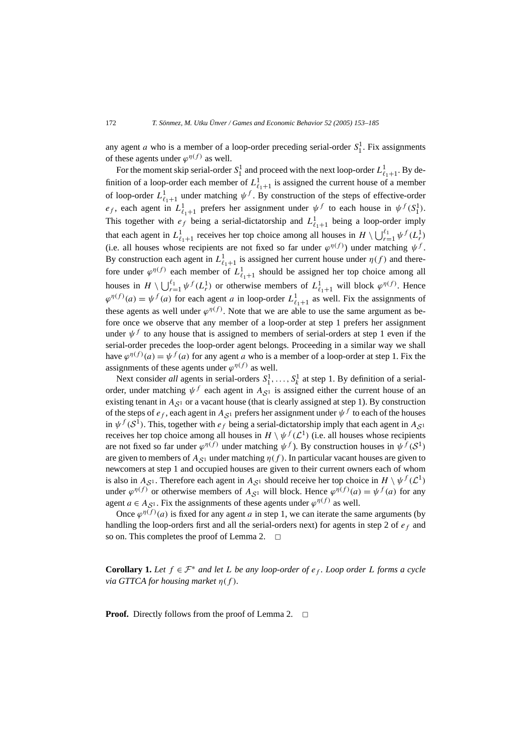any agent *a* who is a member of a loop-order preceding serial-order  $S_1^1$ . Fix assignments of these agents under  $\varphi^{\eta(f)}$  as well.

For the moment skip serial-order  $S_1^1$  and proceed with the next loop-order  $L^1_{\ell_1+1}$ . By definition of a loop-order each member of  $L^1_{\ell_1+1}$  is assigned the current house of a member of loop-order  $L^1_{\ell_1+1}$  under matching  $\psi^f$ . By construction of the steps of effective-order *e<sub>f</sub>*, each agent in  $L^1_{\ell_1+1}$  prefers her assignment under  $\psi^f$  to each house in  $\psi^f(S_1^1)$ . This together with  $e_f$  being a serial-dictatorship and  $L^1_{\ell_1+1}$  being a loop-order imply that each agent in  $L^1_{\ell_1+1}$  receives her top choice among all houses in  $H \setminus \bigcup_{r=1}^{\ell_1} \psi^f(L^1_r)$ (i.e. all houses whose recipients are not fixed so far under  $\varphi^{\eta(f)}$ ) under matching  $\psi^f$ . By construction each agent in  $L^1_{\ell_1+1}$  is assigned her current house under  $\eta(f)$  and therefore under  $\varphi^{\eta(f)}$  each member of  $L^1_{\ell_1+1}$  should be assigned her top choice among all houses in  $H \setminus \bigcup_{r=1}^{\ell_1} \psi^f(L_r^1)$  or otherwise members of  $L_{\ell_1+1}^1$  will block  $\varphi^{\eta(f)}$ . Hence  $\varphi^{\eta(f)}(a) = \psi^f(a)$  for each agent *a* in loop-order  $L^1_{\ell_1+1}$  as well. Fix the assignments of these agents as well under  $\varphi^{\eta(f)}$ . Note that we are able to use the same argument as before once we observe that any member of a loop-order at step 1 prefers her assignment under  $\psi^f$  to any house that is assigned to members of serial-orders at step 1 even if the serial-order precedes the loop-order agent belongs. Proceeding in a similar way we shall have  $\varphi^{n(f)}(a) = \psi^f(a)$  for any agent *a* who is a member of a loop-order at step 1. Fix the assignments of these agents under  $\varphi^{\eta(f)}$  as well.

Next consider *all* agents in serial-orders  $S_1^1, \ldots, S_k^1$  at step 1. By definition of a serialorder, under matching  $\psi^f$  each agent in  $A_{\mathcal{S}1}$  is assigned either the current house of an existing tenant in  $A_{\mathcal{S}^1}$  or a vacant house (that is clearly assigned at step 1). By construction of the steps of  $e_f$ , each agent in  $A_{S1}$  prefers her assignment under  $\psi^f$  to each of the houses in  $\psi^f(S^1)$ . This, together with  $e_f$  being a serial-dictatorship imply that each agent in  $A_{S^1}$ receives her top choice among all houses in  $H \setminus \psi^f(\mathcal{L}^1)$  (i.e. all houses whose recipients are not fixed so far under  $\varphi^{\eta(f)}$  under matching  $\psi^f$ ). By construction houses in  $\psi^f(\mathcal{S}^1)$ are given to members of  $A_{\mathcal{S}^1}$  under matching  $\eta(f)$ . In particular vacant houses are given to newcomers at step 1 and occupied houses are given to their current owners each of whom is also in  $A_{S1}$ . Therefore each agent in  $A_{S1}$  should receive her top choice in  $H \setminus \psi^f(\mathcal{L}^1)$ under  $\varphi^{\eta(f)}$  or otherwise members of *A<sub>S</sub>*<sub>1</sub> will block. Hence  $\varphi^{\eta(f)}(a) = \psi^f(a)$  for any agent  $a \in A_{S^1}$ . Fix the assignments of these agents under  $\varphi^{\eta(f)}$  as well.

Once  $\varphi^{\eta(f)}(a)$  is fixed for any agent *a* in step 1, we can iterate the same arguments (by handling the loop-orders first and all the serial-orders next) for agents in step 2 of *ef* and so on. This completes the proof of Lemma 2.  $\Box$ 

**Corollary 1.** *Let*  $f \in \mathcal{F}^*$  *and let L be any loop-order of*  $e_f$ *. Loop order L forms a cycle via GTTCA for housing market η(f ).*

**Proof.** Directly follows from the proof of Lemma 2.  $\Box$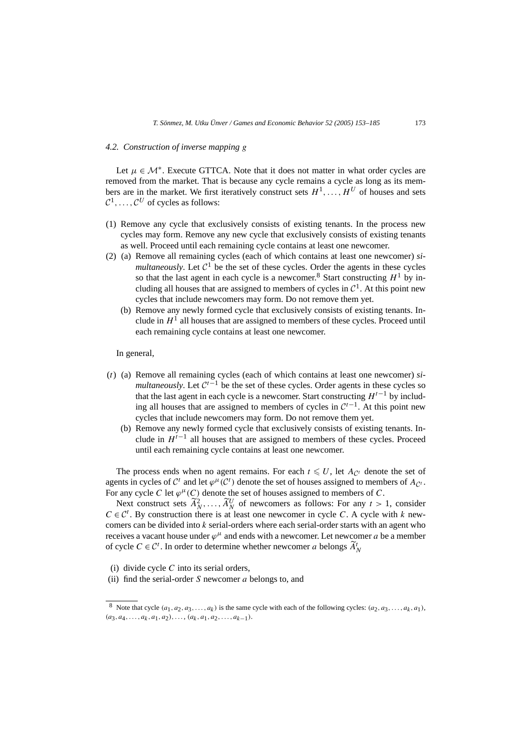# *4.2. Construction of inverse mapping g*

Let  $\mu \in \mathcal{M}^*$ . Execute GTTCA. Note that it does not matter in what order cycles are removed from the market. That is because any cycle remains a cycle as long as its members are in the market. We first iteratively construct sets  $H^1, \ldots, H^U$  of houses and sets  $C^1, \ldots, C^U$  of cycles as follows:

- (1) Remove any cycle that exclusively consists of existing tenants. In the process new cycles may form. Remove any new cycle that exclusively consists of existing tenants as well. Proceed until each remaining cycle contains at least one newcomer.
- (2) (a) Remove all remaining cycles (each of which contains at least one newcomer) *simultaneously*. Let  $C^1$  be the set of these cycles. Order the agents in these cycles so that the last agent in each cycle is a newcomer.<sup>8</sup> Start constructing  $H^1$  by including all houses that are assigned to members of cycles in  $\mathcal{C}^1$ . At this point new cycles that include newcomers may form. Do not remove them yet.
	- (b) Remove any newly formed cycle that exclusively consists of existing tenants. Include in  $H<sup>1</sup>$  all houses that are assigned to members of these cycles. Proceed until each remaining cycle contains at least one newcomer.

In general,

- (*t*) (a) Remove all remaining cycles (each of which contains at least one newcomer) *simultaneously*. Let  $\mathcal{C}^{t-1}$  be the set of these cycles. Order agents in these cycles so that the last agent in each cycle is a newcomer. Start constructing *Ht*−<sup>1</sup> by including all houses that are assigned to members of cycles in <sup>C</sup>*t*<sup>−</sup>1. At this point new cycles that include newcomers may form. Do not remove them yet.
	- (b) Remove any newly formed cycle that exclusively consists of existing tenants. Include in  $H^{t-1}$  all houses that are assigned to members of these cycles. Proceed until each remaining cycle contains at least one newcomer.

The process ends when no agent remains. For each  $t \leq U$ , let  $A_{\mathcal{C}^t}$  denote the set of agents in cycles of  $C^t$  and let  $\varphi^{\mu}(C^t)$  denote the set of houses assigned to members of  $A_{C^t}$ . For any cycle *C* let  $\varphi^{\mu}(C)$  denote the set of houses assigned to members of *C*.

Next construct sets  $\widetilde{A}_N^2, \ldots, \widetilde{A}_N^U$  of newcomers as follows: For any  $t > 1$ , consider  $C \in \mathcal{C}^t$ . By construction there is at least one newcomer in cycle *C*. A cycle with *k* newcomers can be divided into *k* serial-orders where each serial-order starts with an agent who receives a vacant house under  $\varphi^{\mu}$  and ends with a newcomer. Let newcomer *a* be a member of cycle  $C \in \mathcal{C}^t$ . In order to determine whether newcomer *a* belongs  $\widetilde{A}_N^t$ 

- (i) divide cycle *C* into its serial orders,
- (ii) find the serial-order *S* newcomer *a* belongs to, and

<sup>&</sup>lt;sup>8</sup> Note that cycle  $(a_1, a_2, a_3, \ldots, a_k)$  is the same cycle with each of the following cycles:  $(a_2, a_3, \ldots, a_k, a_1)$ ,  $(a_3, a_4, \ldots, a_k, a_1, a_2), \ldots, (a_k, a_1, a_2, \ldots, a_{k-1}).$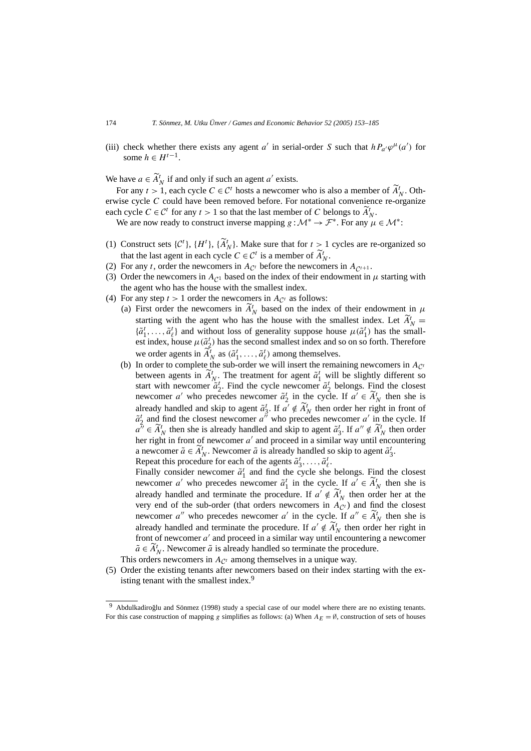(iii) check whether there exists any agent *a*<sup>'</sup> in serial-order *S* such that  $hP_{a'} \varphi^{\mu}(a')$  for some  $h \in H^{t-1}$ .

We have  $a \in \widetilde{A}_N^t$  if and only if such an agent  $a'$  exists.

For any  $t > 1$ , each cycle  $C \in \mathcal{C}^t$  hosts a newcomer who is also a member of  $\widetilde{A}^t_N$ . Otherwise cycle *C* could have been removed before. For notational convenience re-organize each cycle  $C \in \mathcal{C}^t$  for any  $t > 1$  so that the last member of *C* belongs to  $\widetilde{A}^t_N$ .

We are now ready to construct inverse mapping  $g : \mathcal{M}^* \to \mathcal{F}^*$ . For any  $\mu \in \mathcal{M}^*$ :

- (1) Construct sets  $\{C^t\}$ ,  $\{H^t\}$ ,  $\{\widetilde{A}^t_N\}$ . Make sure that for  $t > 1$  cycles are re-organized so that the last agent in each cycle  $C \in \mathcal{C}^t$  is a member of  $\widetilde{A}^t_N$ .
- (2) For any *t*, order the newcomers in  $A_{\mathcal{C}^t}$  before the newcomers in  $A_{\mathcal{C}^{t+1}}$ .
- (3) Order the newcomers in  $A_{\mathcal{C}^1}$  based on the index of their endowment in  $\mu$  starting with the agent who has the house with the smallest index.
- (4) For any step  $t > 1$  order the newcomers in  $A_{\mathcal{C}^t}$  as follows:
	- (a) First order the newcomers in  $\widetilde{A}_N^t$  based on the index of their endowment in  $\mu$ starting with the agent who has the house with the smallest index. Let  $\tilde{A}_N^t$  $\{\tilde{a}_1^t, \ldots, \tilde{a}_\ell^t\}$  and without loss of generality suppose house  $\mu(\tilde{a}_1^t)$  has the smallest index, house  $\mu(\tilde{a}_2^t)$  has the second smallest index and so on so forth. Therefore we order agents in  $\widetilde{A}_N^t$  as  $(\widetilde{a}_1^t, \ldots, \widetilde{a}_\ell^t)$  among themselves.
	- (b) In order to complete the sub-order we will insert the remaining newcomers in  $A_{\mathcal{C}^t}$ between agents in  $\widetilde{A}_{N}^{t}$ . The treatment for agent  $\widetilde{a}_{1}^{t}$  will be slightly different so start with newcomer  $\tilde{a}_2^t$ . Find the cycle newcomer  $\tilde{a}_2^t$  belongs. Find the closest newcomer *a'* who precedes newcomer  $\tilde{a}_2^t$  in the cycle. If  $a' \in \tilde{A}_N^t$  then she is already handled and skip to agent  $\tilde{a}^t_3$ . If  $a' \notin \tilde{A}^t_N$  then order her right in front of  $\tilde{a}_2^t$  and find the closest newcomer  $a^{t'}$  who precedes newcomer  $a'$  in the cycle. If  $a^{\overline{n}} \in \widetilde{A}_N^t$  then she is already handled and skip to agent  $\widetilde{a}_3^t$ . If  $a'' \notin \widetilde{A}_N^t$  then order her right in front of newcomer  $a'$  and proceed in a similar way until encountering a newcomer  $\tilde{a} \in \tilde{A}_N^t$ . Newcomer  $\tilde{a}$  is already handled so skip to agent  $\tilde{a}_3^t$ .

Repeat this procedure for each of the agents  $\tilde{a}_3^t$ , ...,  $\tilde{a}_\ell^t$ .

Finally consider newcomer  $\tilde{a}^t_1$  and find the cycle she belongs. Find the closest newcomer *a'* who precedes newcomer  $\tilde{a}_1^t$  in the cycle. If  $a' \in \tilde{A}_N^t$  then she is already handled and terminate the procedure. If  $a' \notin \widetilde{A}_N^t$  then order her at the very end of the sub-order (that orders newcomers in  $A_{\mathcal{C}^t}$ ) and find the closest newcomer *a*<sup>*'*</sup> who precedes newcomer *a*<sup>*'*</sup> in the cycle. If  $a'' \in \widetilde{A}_N^t$  then she is already handled and terminate the procedure. If  $a' \notin \tilde{A}_N^t$  then order her right in front of newcomer  $a'$  and proceed in a similar way until encountering a newcomer  $\tilde{a} \in \tilde{A}_N^t$ . Newcomer  $\tilde{a}$  is already handled so terminate the procedure.

This orders newcomers in  $A_{\mathcal{C}^t}$  among themselves in a unique way.

(5) Order the existing tenants after newcomers based on their index starting with the existing tenant with the smallest index.<sup>9</sup>

Abdulkadiroğlu and Sönmez (1998) study a special case of our model where there are no existing tenants. For this case construction of mapping *g* simplifies as follows: (a) When  $A_E = \emptyset$ , construction of sets of houses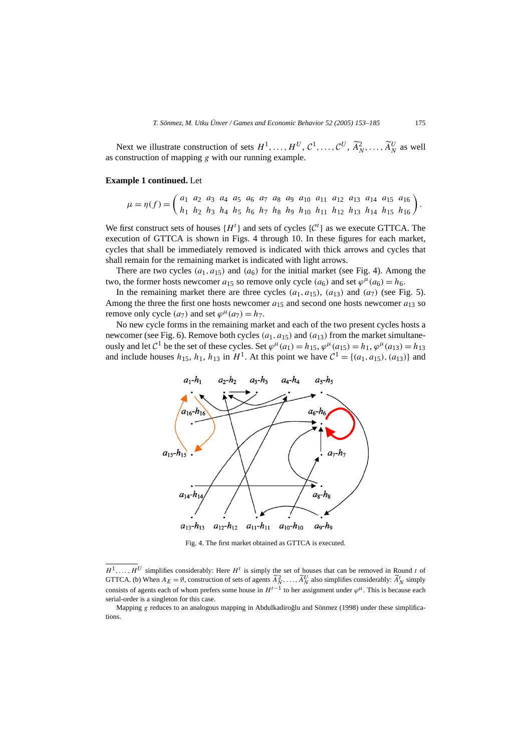Next we illustrate construction of sets  $H^1, \ldots, H^U, C^1, \ldots, C^U, \widetilde{A}_N^2, \ldots, \widetilde{A}_N^U$  as well as construction of mapping *g* with our running example.

#### **Example 1 continued.** Let

$$
\mu = \eta(f) = \begin{pmatrix} a_1 & a_2 & a_3 & a_4 & a_5 & a_6 & a_7 & a_8 & a_9 & a_{10} & a_{11} & a_{12} & a_{13} & a_{14} & a_{15} & a_{16} \\ h_1 & h_2 & h_3 & h_4 & h_5 & h_6 & h_7 & h_8 & h_9 & h_{10} & h_{11} & h_{12} & h_{13} & h_{14} & h_{15} & h_{16} \end{pmatrix}
$$

We first construct sets of houses  $\{H^t\}$  and sets of cycles  $\{C^t\}$  as we execute GTTCA. The execution of GTTCA is shown in Figs. 4 through 10. In these figures for each market, cycles that shall be immediately removed is indicated with thick arrows and cycles that shall remain for the remaining market is indicated with light arrows.

There are two cycles  $(a_1, a_{15})$  and  $(a_6)$  for the initial market (see Fig. 4). Among the two, the former hosts newcomer  $a_{15}$  so remove only cycle  $(a_6)$  and set  $\varphi^{\mu}(a_6) = h_6$ .

In the remaining market there are three cycles  $(a_1, a_{15})$ ,  $(a_{13})$  and  $(a_7)$  (see Fig. 5). Among the three the first one hosts newcomer  $a_{15}$  and second one hosts newcomer  $a_{13}$  so remove only cycle  $(a_7)$  and set  $\varphi^{\mu}(a_7) = h_7$ .

No new cycle forms in the remaining market and each of the two present cycles hosts a newcomer (see Fig. 6). Remove both cycles *(a*1*, a*15*)* and *(a*13*)* from the market simultaneously and let  $C^1$  be the set of these cycles. Set  $\varphi^{\mu}(a_1) = h_{15}$ ,  $\varphi^{\mu}(a_{15}) = h_1$ ,  $\varphi^{\mu}(a_{13}) = h_{13}$ and include houses  $h_{15}$ ,  $h_1$ ,  $h_{13}$  in  $H^1$ . At this point we have  $C^1 = \{(a_1, a_{15}), (a_{13})\}$  and



Fig. 4. The first market obtained as GTTCA is executed.

 $H^1, \ldots, H^U$  simplifies considerably: Here  $H^t$  is simply the set of houses that can be removed in Round *t* of GTTCA. (b) When  $A_E = \emptyset$ , construction of sets of agents  $\widetilde{A}_N^2, \ldots, \widetilde{A}_N^U$  also simplifies considerably:  $\widetilde{A}_N^t$  simply consists of agents each of whom prefers some house in  $H^{t-1}$  to her assignment under  $\varphi^{\mu}$ . This is because each serial-order is a singleton for this case.

Mapping *g* reduces to an analogous mapping in Abdulkadiroğlu and Sönmez (1998) under these simplifications.

*.*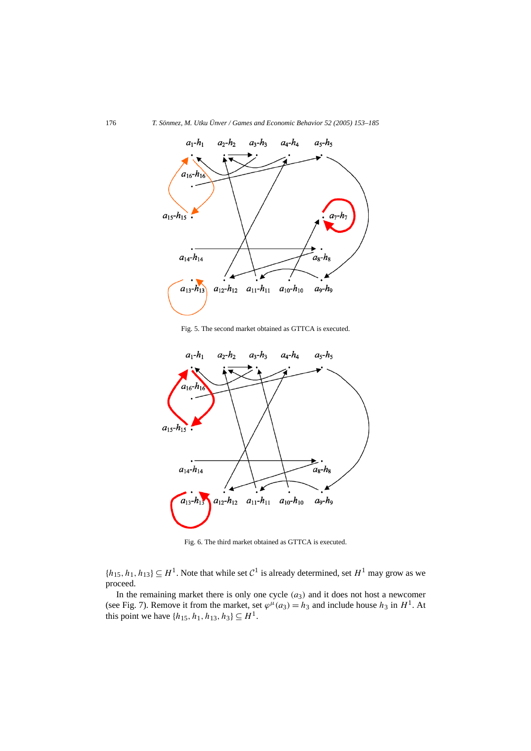

Fig. 5. The second market obtained as GTTCA is executed.



Fig. 6. The third market obtained as GTTCA is executed.

 ${h_{15}, h_1, h_{13}} \subseteq H^1$ . Note that while set  $C^1$  is already determined, set  $H^1$  may grow as we proceed.

In the remaining market there is only one cycle  $(a_3)$  and it does not host a newcomer (see Fig. 7). Remove it from the market, set  $\varphi^{\mu}(a_3) = h_3$  and include house  $h_3$  in  $H^1$ . At this point we have  $\{h_{15}, h_1, h_{13}, h_3\} \subseteq H^1$ .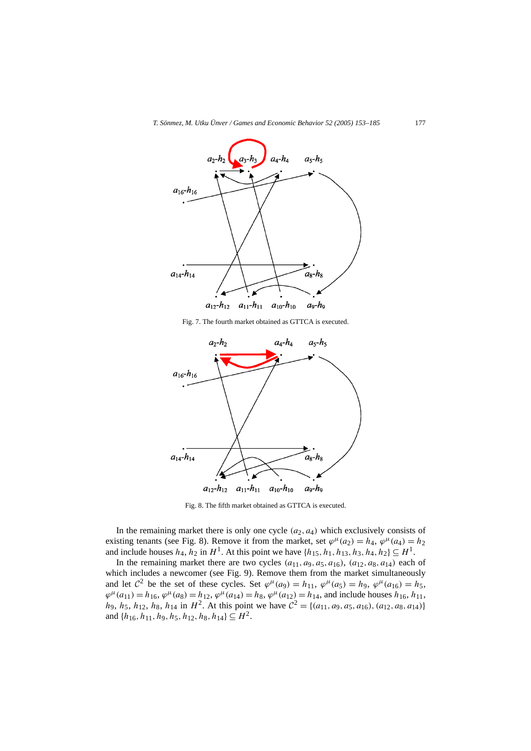

Fig. 7. The fourth market obtained as GTTCA is executed.



Fig. 8. The fifth market obtained as GTTCA is executed.

In the remaining market there is only one cycle  $(a_2, a_4)$  which exclusively consists of existing tenants (see Fig. 8). Remove it from the market, set  $\varphi^{\mu}(a_2) = h_4$ ,  $\varphi^{\mu}(a_4) = h_2$ and include houses  $h_4$ ,  $h_2$  in  $H^1$ . At this point we have  $\{h_{15}, h_1, h_{13}, h_3, h_4, h_2\} \subseteq H^1$ .

In the remaining market there are two cycles  $(a_{11}, a_9, a_5, a_{16})$ ,  $(a_{12}, a_8, a_{14})$  each of which includes a newcomer (see Fig. 9). Remove them from the market simultaneously and let  $C^2$  be the set of these cycles. Set  $\varphi^{\mu}(a_9) = h_{11}$ ,  $\varphi^{\mu}(a_5) = h_9$ ,  $\varphi^{\mu}(a_{16}) = h_5$ ,  $\varphi^{\mu}(a_{11}) = h_{16}, \varphi^{\mu}(a_{8}) = h_{12}, \varphi^{\mu}(a_{14}) = h_{8}, \varphi^{\mu}(a_{12}) = h_{14}$ , and include houses  $h_{16}, h_{11}$ , *h*<sub>9</sub>, *h*<sub>5</sub>, *h*<sub>12</sub>, *h*<sub>8</sub>, *h*<sub>14</sub> in *H*<sup>2</sup>. At this point we have  $C^2 = \{(a_{11}, a_9, a_5, a_{16}), (a_{12}, a_8, a_{14})\}$ and  $\{h_{16}, h_{11}, h_9, h_5, h_{12}, h_8, h_{14}\} \subseteq H^2$ .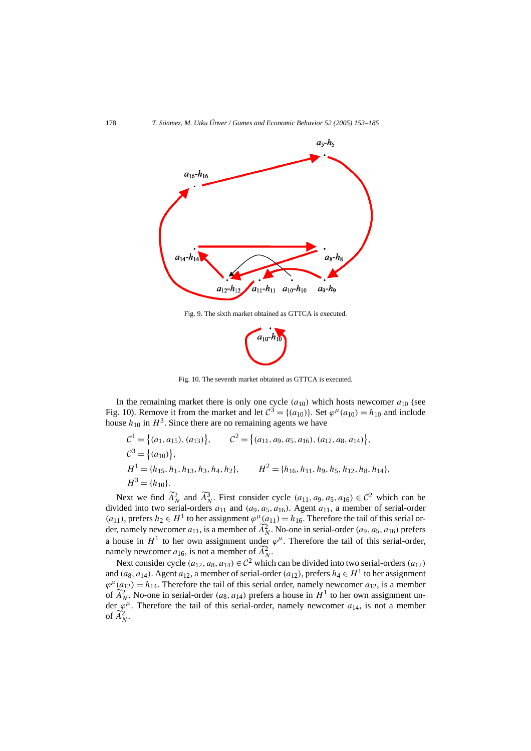

Fig. 9. The sixth market obtained as GTTCA is executed.



Fig. 10. The seventh market obtained as GTTCA is executed.

In the remaining market there is only one cycle  $(a_{10})$  which hosts newcomer  $a_{10}$  (see Fig. 10). Remove it from the market and let  $C^3 = \{(a_{10})\}$ . Set  $\varphi^{\mu}(a_{10}) = h_{10}$  and include house  $h_{10}$  in  $H^3$ . Since there are no remaining agents we have

$$
C1 = \{(a1, a15), (a13)\}, \t C2 = \{(a11, a9, a5, a16), (a12, a8, a14)\},\nC3 = \{(a10)\},\nH1 = \{h15, h1, h13, h3, h4, h2\}, \t H2 = \{h16, h11, h9, h5, h12, h8, h14\},\nH3 = \{h10\}.
$$

Next we find  $\widetilde{A}_N^2$  and  $\widetilde{A}_N^3$ . First consider cycle  $(a_{11}, a_9, a_5, a_{16}) \in C^2$  which can be divided into two serial-orders  $a_{11}$  and  $(a_9, a_5, a_{16})$ . Agent  $a_{11}$ , a member of serial-order  $(a_{11})$ , prefers  $h_2$  ∈ *H*<sup>1</sup> to her assignment  $\varphi^{\mu}(a_{11}) = h_{16}$ . Therefore the tail of this serial order, namely newcomer  $a_{11}$ , is a member of  $\widetilde{A}_N^2$ . No-one in serial-order  $(a_9, a_5, a_{16})$  prefers a house in  $H^1$  to her own assignment under  $\varphi^{\mu}$ . Therefore the tail of this serial-order, namely newcomer  $a_{16}$ , is not a member of  $\widetilde{A}_{N}^{2}$ .

Next consider cycle  $(a_{12}, a_8, a_{14}) \in C^2$  which can be divided into two serial-orders  $(a_{12})$ and  $(a_8, a_{14})$ . Agent  $a_{12}$ , a member of serial-order  $(a_{12})$ , prefers  $h_4 \in H^1$  to her assignment  $\varphi^{\mu}(a_{12}) = h_{14}$ . Therefore the tail of this serial order, namely newcomer  $a_{12}$ , is a member of  $\widetilde{A}_{N}^{2}$ . No-one in serial-order  $(a_8, a_{14})$  prefers a house in  $H^{1}$  to her own assignment under  $\varphi^{\mu}$ . Therefore the tail of this serial-order, namely newcomer  $a_{14}$ , is not a member of  $\widetilde{A}_N^2$ .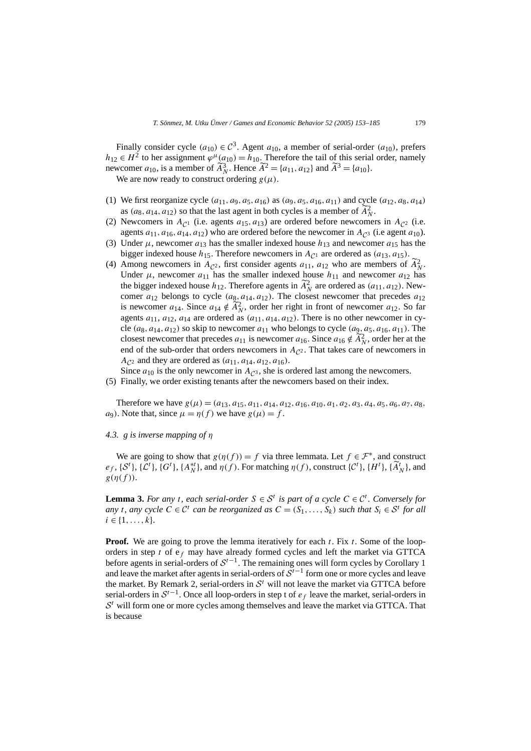Finally consider cycle  $(a_{10}) \in C^3$ . Agent  $a_{10}$ , a member of serial-order  $(a_{10})$ , prefers  $h_{12} \in H^2$  to her assignment  $\varphi^{\mu}(a_{10}) = h_{10}$ . Therefore the tail of this serial order, namely newcomer  $a_{10}$ , is a member of  $\widetilde{A}_N^3$ . Hence  $\widetilde{A}^2 = \{a_{11}, a_{12}\}$  and  $\widetilde{A}^3 = \{a_{10}\}.$ 

We are now ready to construct ordering  $g(\mu)$ .

- (1) We first reorganize cycle  $(a_{11}, a_9, a_5, a_{16})$  as  $(a_9, a_5, a_{16}, a_{11})$  and cycle  $(a_{12}, a_8, a_{14})$ as  $(a_8, a_{14}, a_{12})$  so that the last agent in both cycles is a member of  $\widetilde{A}_N^2$ .
- (2) Newcomers in  $A_{C_1}$  (i.e. agents  $a_{15}, a_{13}$ ) are ordered before newcomers in  $A_{C_1}$  (i.e. agents  $a_{11}$ ,  $a_{16}$ ,  $a_{14}$ ,  $a_{12}$ ) who are ordered before the newcomer in  $A_{\mathcal{C}^3}$  (i.e agent  $a_{10}$ ).
- (3) Under  $\mu$ , newcomer  $a_{13}$  has the smaller indexed house  $h_{13}$  and newcomer  $a_{15}$  has the bigger indexed house  $h_{15}$ . Therefore newcomers in  $A_{\mathcal{C}^1}$  are ordered as  $(a_{13}, a_{15})$ .
- (4) Among newcomers in  $A_{\mathcal{C}^2}$ , first consider agents  $a_{11}$ ,  $a_{12}$  who are members of  $\widetilde{A}_{N}^2$ . Under  $\mu$ , newcomer  $a_{11}$  has the smaller indexed house  $h_{11}$  and newcomer  $a_{12}$  has the bigger indexed house  $h_{12}$ . Therefore agents in  $\widetilde{A}_N^2$  are ordered as  $(a_{11}, a_{12})$ . Newcomer  $a_{12}$  belongs to cycle  $(a_8, a_{14}, a_{12})$ . The closest newcomer that precedes  $a_{12}$ is newcomer  $a_{14}$ . Since  $a_{14} \notin \widetilde{A}_N^2$ , order her right in front of newcomer  $a_{12}$ . So far agents  $a_{11}$ ,  $a_{12}$ ,  $a_{14}$  are ordered as  $(a_{11}, a_{14}, a_{12})$ . There is no other newcomer in cycle  $(a_8, a_{14}, a_{12})$  so skip to newcomer  $a_{11}$  who belongs to cycle  $(a_9, a_5, a_{16}, a_{11})$ . The closest newcomer that precedes  $a_{11}$  is newcomer  $a_{16}$ . Since  $a_{16} \notin \widetilde{A}_N^2$ , order her at the end of the sub-order that orders newcomers in  $A_{\mathcal{C}^2}$ . That takes care of newcomers in  $A_{\mathcal{C}^2}$  and they are ordered as  $(a_{11}, a_{14}, a_{12}, a_{16})$ .
- Since  $a_{10}$  is the only newcomer in  $A_{\mathcal{C}^3}$ , she is ordered last among the newcomers.
- (5) Finally, we order existing tenants after the newcomers based on their index.

Therefore we have  $g(\mu) = (a_{13}, a_{15}, a_{11}, a_{14}, a_{12}, a_{16}, a_{10}, a_1, a_2, a_3, a_4, a_5, a_6, a_7, a_8,$ *a*<sub>9</sub>). Note that, since  $\mu = \eta(f)$  we have  $g(\mu) = f$ .

## *4.3. g is inverse mapping of η*

We are going to show that  $g(\eta(f)) = f$  via three lemmata. Let  $f \in \mathcal{F}^*$ , and construct  $e_f$ ,  $\{\mathcal{S}^t\}$ ,  $\{\mathcal{L}^t\}$ ,  $\{A_N^{*t}\}$ , and  $\eta(f)$ . For matching  $\eta(f)$ , construct  $\{\mathcal{C}^t\}$ ,  $\{H^t\}$ ,  $\{\widetilde{A}_N^t\}$ , and  $g(\eta(f)).$ 

**Lemma 3.** *For any t, each serial-order*  $S \in S^t$  *is part of a cycle*  $C \in C^t$ *. Conversely for any t, any cycle*  $C \in \mathcal{C}^t$  *can be reorganized as*  $C = (S_1, \ldots, S_k)$  *such that*  $S_i \in \mathcal{S}^t$  *for all*  $i \in \{1, \ldots, k\}.$ 

**Proof.** We are going to prove the lemma iteratively for each *t*. Fix *t*. Some of the looporders in step  $t$  of  $e_f$  may have already formed cycles and left the market via GTTCA before agents in serial-orders of <sup>S</sup>*t*<sup>−</sup>1. The remaining ones will form cycles by Corollary 1 and leave the market after agents in serial-orders of <sup>S</sup>*t*−<sup>1</sup> form one or more cycles and leave the market. By Remark 2, serial-orders in  $S<sup>t</sup>$  will not leave the market via GTTCA before serial-orders in <sup>S</sup>*t*<sup>−</sup>1. Once all loop-orders in step t of *ef* leave the market, serial-orders in <sup>S</sup>*<sup>t</sup>* will form one or more cycles among themselves and leave the market via GTTCA. That is because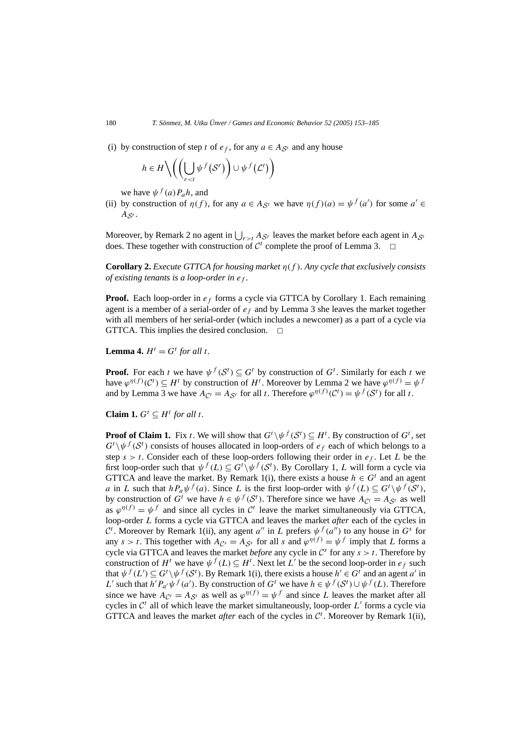(i) by construction of step *t* of  $e_f$ , for any  $a \in A_{S^t}$  and any house

$$
h\in H\left\backslash\left(\left(\bigcup_{r
$$

we have  $\psi^f(a)P_a h$ , and

(ii) by construction of  $\eta(f)$ , for any  $a \in A_{S^t}$  we have  $\eta(f)(a) = \psi^f(a')$  for some  $a' \in A_{S^t}$  $A_{St}$ .

Moreover, by Remark 2 no agent in  $\bigcup_{r>t} A_{\mathcal{S}^r}$  leaves the market before each agent in  $A_{\mathcal{S}^r}$ does. These together with construction of  $\mathcal{C}^t$  complete the proof of Lemma 3.  $\Box$ 

**Corollary 2.** *Execute GTTCA for housing market η(f ). Any cycle that exclusively consists of existing tenants is a loop-order in ef .*

**Proof.** Each loop-order in  $e_f$  forms a cycle via GTTCA by Corollary 1. Each remaining agent is a member of a serial-order of  $e_f$  and by Lemma 3 she leaves the market together with all members of her serial-order (which includes a newcomer) as a part of a cycle via GTTCA. This implies the desired conclusion.  $\square$ 

**Lemma 4.**  $H^t = G^t$  *for all t.* 

**Proof.** For each *t* we have  $\psi^f(\mathcal{S}^t) \subseteq G^t$  by construction of  $G^t$ . Similarly for each *t* we entitled that have  $\varphi^{\eta(f)}(\mathcal{C}^t) \subseteq H^t$  by construction of  $H^t$ . Moreover by Lemma 2 we have  $\varphi^{\eta(f)} = \psi^f$ and by Lemma 3 we have  $A_{\mathcal{C}^t} = A_{\mathcal{S}^t}$  for all *t*. Therefore  $\varphi^{\eta(f)}(\mathcal{C}^t) = \psi^f(\mathcal{S}^t)$  for all *t*.

**Claim 1.**  $G^t \subseteq H^t$  *for all t.* 

**Proof of Claim 1.** Fix *t*. We will show that  $G^t \setminus \psi^f(S^t) \subseteq H^t$ . By construction of  $G^t$ , set  $G^t \setminus \psi^f(S^t)$  consists of houses allocated in loop-orders of  $e_f$  each of which belongs to a step  $s > t$ . Consider each of these loop-orders following their order in  $e_f$ . Let *L* be the first loop-order such that  $\psi^f(L) \subseteq G^t \setminus \psi^f(S^t)$ . By Corollary 1, *L* will form a cycle via GTTCA and leave the market. By Remark 1(i), there exists a house  $h \in G^t$  and an agent *a* in *L* such that  $hP_a\psi^f(a)$ . Since *L* is the first loop-order with  $\psi^f(L) \subseteq G^t \setminus \psi^f(S^t)$ , by construction of *G<sup>t</sup>* we have  $h \in \psi^f(S^t)$ . Therefore since we have  $A_{\mathcal{C}^t} = A_{\mathcal{S}^t}$  as well as  $\varphi^{\eta(f)} = \psi^f$  and since all cycles in C<sup>t</sup> leave the market simultaneously via GTTCA, loop-order *L* forms a cycle via GTTCA and leaves the market *after* each of the cycles in  $\mathcal{C}^t$ . Moreover by Remark 1(ii), any agent *a*<sup>*'*</sup> in *L* prefers  $\psi^f(a'')$  to any house in  $G^s$  for any  $s > t$ . This together with  $A_{\mathcal{C}^s} = A_{\mathcal{S}^s}$  for all *s* and  $\varphi^{\eta(f)} = \psi^f$  imply that *L* forms a cycle via GTTCA and leaves the market *before* any cycle in  $\mathcal{C}^s$  for any  $s > t$ . Therefore by construction of  $H^t$  we have  $\psi^f(L) \subseteq H^t$ . Next let  $L'$  be the second loop-order in  $e_f$  such that  $\psi^f(L') \subseteq G^t \setminus \psi^f(S^t)$ . By Remark 1(i), there exists a house  $h' \in G^t$  and an agent *a*<sup>'</sup> in *L*<sup> $\prime$ </sup> such that *h*<sup> $\prime$ </sup> *P<sub>a</sub>*<sup> $\prime$ </sup>  $\psi$ <sup>*f*</sup> (*a*<sup> $\prime$ </sup>). By construction of *G<sup>t</sup>* we have *h*  $\in \psi$ <sup>*f*</sup> (*S*<sup>t</sup>)  $\cup \psi$ <sup>*f*</sup> (*L*). Therefore since we have  $A_{\mathcal{C}^t} = A_{\mathcal{S}^t}$  as well as  $\varphi^{\eta(f)} = \psi^f$  and since *L* leaves the market after all cycles in  $\mathcal{C}^t$  all of which leave the market simultaneously, loop-order  $L'$  forms a cycle via GTTCA and leaves the market *after* each of the cycles in  $\mathcal{C}^t$ . Moreover by Remark 1(ii),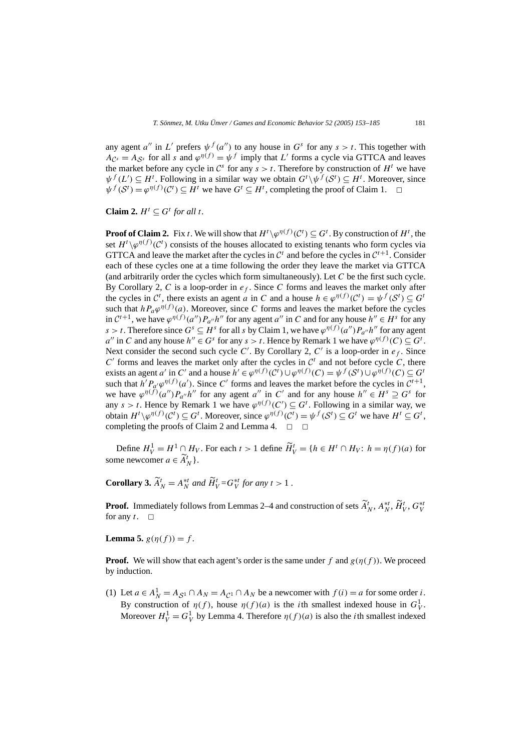any agent *a*<sup>*''*</sup> in *L'* prefers  $\psi^f(a'')$  to any house in *G<sup>s</sup>* for any  $s > t$ . This together with  $A_{\mathcal{C}^s} = A_{\mathcal{S}^s}$  for all *s* and  $\varphi^{\eta(f)} = \psi^f$  imply that *L*' forms a cycle via GTTCA and leaves the market before any cycle in  $C^s$  for any  $s > t$ . Therefore by construction of  $H^t$  we have  $\psi^f(L') \subseteq H^t$ . Following in a similar way we obtain  $G^t \setminus \psi^f(S^t) \subseteq H^t$ . Moreover, since  $\psi^f(S^t) = \varphi^{\eta(f)}(\mathcal{C}^t) \subseteq H^t$  we have  $G^t \subseteq H^t$ , completing the proof of Claim 1.  $\Box$ 

**Claim 2.**  $H^t \subseteq G^t$  *for all t.* 

**Proof of Claim 2.** Fix *t*. We will show that  $H^t \setminus \varphi^{\eta(f)}(\mathcal{C}^t) \subseteq G^t$ . By construction of  $H^t$ , the set  $H^t \setminus \varphi^{\eta(f)}(\mathcal{C}^t)$  consists of the houses allocated to existing tenants who form cycles via GTTCA and leave the market after the cycles in  $\mathcal{C}^t$  and before the cycles in  $\mathcal{C}^{t+1}$ . Consider each of these cycles one at a time following the order they leave the market via GTTCA (and arbitrarily order the cycles which form simultaneously). Let *C* be the first such cycle. By Corollary 2, C is a loop-order in  $e_f$ . Since C forms and leaves the market only after the cycles in  $\mathcal{C}^t$ , there exists an agent *a* in *C* and a house  $h \in \varphi^{\eta(f)}(\mathcal{C}^t) = \psi^f(\mathcal{S}^t) \subseteq G^t$ such that  $h P_a \varphi^{\eta(f)}(a)$ . Moreover, since *C* forms and leaves the market before the cycles in  $C^{t+1}$ , we have  $\varphi^{\eta(f)}(a'')P_{a''}h''$  for any agent  $a''$  in *C* and for any house  $h'' \in H^s$  for any *s* > *t*. Therefore since  $G^s \subseteq H^s$  for all *s* by Claim 1, we have  $\varphi^{n(f)}(a'')P_{a''}h''$  for any agent  $a''$  in *C* and any house  $h'' \in G^s$  for any  $s > t$ . Hence by Remark 1 we have  $\varphi^{\eta(f)}(C) \subseteq G^t$ . Next consider the second such cycle  $C'$ . By Corollary 2,  $C'$  is a loop-order in  $e_f$ . Since  $C'$  forms and leaves the market only after the cycles in  $C<sup>t</sup>$  and not before cycle *C*, there exists an agent *a*<sup>'</sup> in *C*<sup>'</sup> and a house  $h' \in \varphi^{\eta(f)}(C^t) \cup \varphi^{\eta(f)}(C) = \psi^f(S^t) \cup \varphi^{\eta(f)}(C) \subseteq G^t$ such that  $h'P_{a'}\varphi^{\eta(f)}(a')$ . Since *C'* forms and leaves the market before the cycles in  $\mathcal{C}^{t+1}$ , we have  $\varphi^{n(\overline{f})}(a'')P_{a''}h''$  for any agent  $a''$  in *C'* and for any house  $h'' \in H^s \supseteq G^s$  for any  $s > t$ . Hence by Remark 1 we have  $\varphi^{\eta(f)}(C') \subseteq G^t$ . Following in a similar way, we obtain  $H^t \setminus \varphi^{\eta(f)}(\mathcal{C}^t) \subseteq G^t$ . Moreover, since  $\varphi^{\eta(f)}(\mathcal{C}^t) = \psi^f(S^t) \subseteq G^t$  we have  $H^t \subseteq G^t$ , completing the proofs of Claim 2 and Lemma 4.  $\Box$ 

Define  $H_V^1 = H^1 \cap H_V$ . For each  $t > 1$  define  $\widetilde{H}_V^t = \{ h \in H^t \cap H_V : h = \eta(f)(a)$  for some newcomer  $a \in \widetilde{A}_N^t$  }.

**Corollary 3.**  $\widetilde{A}_N^t = A_N^{*t}$  and  $\widetilde{H}_V^t = G_V^{*t}$  for any  $t > 1$ .

**Proof.** Immediately follows from Lemmas 2–4 and construction of sets  $\widetilde{A}_N^t$ ,  $A_N^{*t}$ ,  $\widetilde{H}_V^t$ ,  $G_V^{*t}$ for any  $t$ .  $\Box$ 

**Lemma 5.**  $g(\eta(f)) = f$ .

**Proof.** We will show that each agent's order is the same under *f* and  $g(\eta(f))$ . We proceed by induction.

(1) Let  $a \in A_N^1 = A_{S^1} \cap A_N = A_{C^1} \cap A_N$  be a newcomer with  $f(i) = a$  for some order *i*. By construction of  $\eta(f)$ , house  $\eta(f)(a)$  is the *i*th smallest indexed house in  $G_V^1$ . Moreover  $H_V^1 = G_V^1$  by Lemma 4. Therefore  $\eta(f)(a)$  is also the *i*th smallest indexed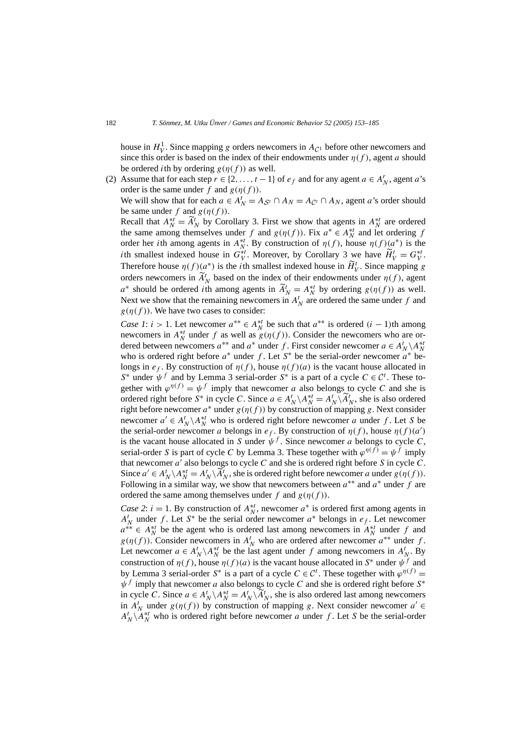house in  $H_V^1$ . Since mapping *g* orders newcomers in  $A_{\mathcal{C}^1}$  before other newcomers and since this order is based on the index of their endowments under  $\eta(f)$ , agent *a* should be ordered *i*th by ordering  $g(\eta(f))$  as well.

(2) Assume that for each step  $r \in \{2, ..., t-1\}$  of  $e_f$  and for any agent  $a \in A_N^r$ , agent  $a$ 's order is the same under *f* and  $g(\eta(f))$ .

We will show that for each  $a \in A_N^t = A_{\mathcal{S}^t} \cap A_N = A_{\mathcal{C}^t} \cap A_N$ , agent *a*'s order should be same under *f* and  $g(\eta(f))$ .

Recall that  $A_N^{*t} = \widetilde{A}_N^t$  by Corollary 3. First we show that agents in  $A_N^{*t}$  are ordered the same among themselves under *f* and  $g(\eta(f))$ . Fix  $a^* \in A_N^{*t}$  and let ordering *f* order her *i*th among agents in  $A_N^{*t}$ . By construction of  $\eta(f)$ , house  $\eta(f)(a^*)$  is the *i*th smallest indexed house in  $G_V^{*t}$ . Moreover, by Corollary 3 we have  $\widetilde{H}_V^t = G_V^{*t}$ . Therefore house  $\eta(f)(a^*)$  is the *i*th smallest indexed house in  $\widetilde{H}_V^t$ . Since mapping *g* orders newcomers in  $\widetilde{A}_N^t$  based on the index of their endowments under  $\eta(f)$ , agent  $a^*$  should be ordered *i*th among agents in  $\widetilde{A}_N^t = A_N^{*t}$  by ordering  $g(\eta(f))$  as well. Next we show that the remaining newcomers in  $A_N^t$  are ordered the same under  $f$  and  $g(n(f))$ . We have two cases to consider:

*Case 1*: *i* > 1. Let new comer  $a^{**} \in A_N^{*t}$  be such that  $a^{**}$  is ordered  $(i - 1)$ th among newcomers in  $A_N^{*t}$  under f as well as  $g(\eta(f))$ . Consider the newcomers who are ordered between newcomers  $a^{**}$  and  $a^*$  under *f*. First consider newcomer  $a \in A_N^t \setminus A_N^{*t}$ who is ordered right before  $a^*$  under  $f$ . Let  $S^*$  be the serial-order newcomer  $a^*$  belongs in  $e_f$ . By construction of  $\eta(f)$ , house  $\eta(f)(a)$  is the vacant house allocated in *S*<sup>\*</sup> under  $\psi^f$  and by Lemma 3 serial-order *S*<sup>\*</sup> is a part of a cycle  $C \in \mathcal{C}^t$ . These together with  $\varphi^{\eta(f)} = \psi^f$  imply that newcomer *a* also belongs to cycle *C* and she is ordered right before *S*<sup>\*</sup> in cycle *C*. Since  $a \in A_N^t \setminus A_N^{*t} = A_N^t \setminus \widetilde{A}_N^t$ , she is also ordered right before newcomer  $a^*$  under  $g(\eta(f))$  by construction of mapping g. Next consider newcomer  $a' \in A_N^t \setminus A_N^{*t}$  who is ordered right before newcomer *a* under *f*. Let *S* be the serial-order newcomer *a* belongs in  $e_f$ . By construction of  $\eta(f)$ , house  $\eta(f)(a')$ is the vacant house allocated in *S* under  $\psi^f$ . Since newcomer *a* belongs to cycle *C*, serial-order *S* is part of cycle *C* by Lemma 3. These together with  $\varphi^{\eta(f)} = \psi^f$  imply that newcomer  $a'$  also belongs to cycle  $C$  and she is ordered right before  $S$  in cycle  $C$ . Since  $a' \in A_N^t \setminus A_N^{*t} = A_N^t \setminus \tilde{A}_N^t$ , she is ordered right before newcomer *a* under  $g(\eta(f))$ . Following in a similar way, we show that newcomers between  $a^{**}$  and  $a^*$  under  $f$  are ordered the same among themselves under *f* and  $g(\eta(f))$ .

*Case 2*: *i* = 1. By construction of  $A_N^{*t}$ , newcomer  $a^*$  is ordered first among agents in  $A_N^t$  under *f*. Let *S*<sup>∗</sup> be the serial order newcomer *a*<sup>∗</sup> belongs in *e<sub>f</sub>*. Let newcomer  $a^{**} \in A_N^{*t}$  be the agent who is ordered last among newcomers in  $A_N^{*t}$  under f and  $g(\eta(f))$ . Consider newcomers in  $A_N^t$  who are ordered after newcomer  $a^{**}$  under  $f$ . Let newcomer  $a \in A_N^t \setminus A_N^{*t}$  be the last agent under f among newcomers in  $A_N^t$ . By construction of  $\eta(f)$ , house  $\eta(f)(a)$  is the vacant house allocated in  $S^*$  under  $\psi^f$  and by Lemma 3 serial-order  $S^*$  is a part of a cycle  $C \in \mathcal{C}^t$ . These together with  $\varphi^{\eta(f)} =$ *ψ<sup>f</sup>* imply that newcomer *a* also belongs to cycle *C* and she is ordered right before *S*<sup>∗</sup> in cycle *C*. Since  $a \in A_N^t \setminus A_N^{*t} = A_N^t \setminus \widetilde{A}_N^t$ , she is also ordered last among newcomers in  $A_N^t$  under  $g(\eta(f))$  by construction of mapping *g*. Next consider newcomer  $a' \in$  $A_N^t \setminus A_N^{*t}$  who is ordered right before newcomer *a* under *f*. Let *S* be the serial-order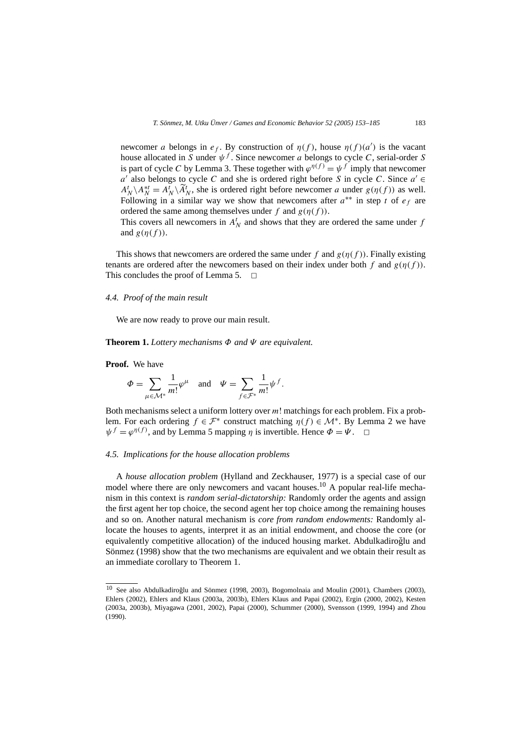newcomer *a* belongs in  $e_f$ . By construction of  $\eta(f)$ , house  $\eta(f)(a')$  is the vacant house allocated in *S* under  $\psi^f$ . Since newcomer *a* belongs to cycle *C*, serial-order *S* is part of cycle *C* by Lemma 3. These together with  $\varphi^{\eta(f)} = \psi^f$  imply that newcomer *a*<sup> $'$ </sup> also belongs to cycle *C* and she is ordered right before *S* in cycle *C*. Since  $a' \in$  $A_N^t \setminus A_N^{*t} = A_N^t \setminus \widetilde{A}_N^t$ , she is ordered right before newcomer *a* under *g(η(f))* as well. Following in a similar way we show that newcomers after  $a^{**}$  in step *t* of  $e_f$  are ordered the same among themselves under  $f$  and  $g(\eta(f))$ .

This covers all newcomers in  $A_N^t$  and shows that they are ordered the same under  $f$ and  $g(\eta(f))$ .

This shows that newcomers are ordered the same under f and  $g(n(f))$ . Finally existing tenants are ordered after the newcomers based on their index under both  $f$  and  $g(n(f))$ . This concludes the proof of Lemma 5.  $\Box$ 

# *4.4. Proof of the main result*

We are now ready to prove our main result.

**Theorem 1.** *Lottery mechanisms Φ and Ψ are equivalent.*

**Proof.** We have

$$
\Phi = \sum_{\mu \in \mathcal{M}^*} \frac{1}{m!} \varphi^{\mu} \quad \text{and} \quad \Psi = \sum_{f \in \mathcal{F}^*} \frac{1}{m!} \psi^f.
$$

Both mechanisms select a uniform lottery over *m*! matchings for each problem. Fix a problem. For each ordering  $f \in \mathcal{F}^*$  construct matching  $\eta(f) \in \mathcal{M}^*$ . By Lemma 2 we have  $\psi^f = \varphi^{\eta(f)}$ , and by Lemma 5 mapping *η* is invertible. Hence  $\Phi = \Psi$ .  $\Box$ 

## *4.5. Implications for the house allocation problems*

A *house allocation problem* (Hylland and Zeckhauser, 1977) is a special case of our model where there are only newcomers and vacant houses.<sup>10</sup> A popular real-life mechanism in this context is *random serial-dictatorship:* Randomly order the agents and assign the first agent her top choice, the second agent her top choice among the remaining houses and so on. Another natural mechanism is *core from random endowments:* Randomly allocate the houses to agents, interpret it as an initial endowment, and choose the core (or equivalently competitive allocation) of the induced housing market. Abdulkadiroglu and Sönmez (1998) show that the two mechanisms are equivalent and we obtain their result as an immediate corollary to Theorem 1.

 $10$  See also Abdulkadiroğlu and Sönmez (1998, 2003), Bogomolnaia and Moulin (2001), Chambers (2003), Ehlers (2002), Ehlers and Klaus (2003a, 2003b), Ehlers Klaus and Papai (2002), Ergin (2000, 2002), Kesten (2003a, 2003b), Miyagawa (2001, 2002), Papai (2000), Schummer (2000), Svensson (1999, 1994) and Zhou (1990).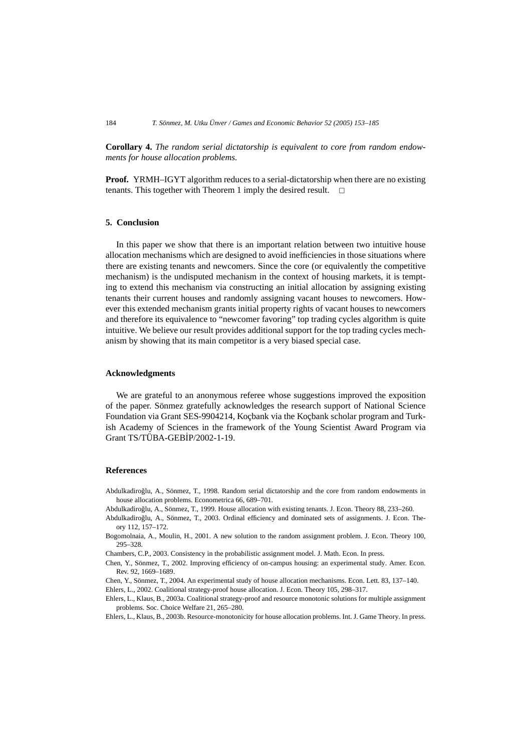**Corollary 4.** *The random serial dictatorship is equivalent to core from random endowments for house allocation problems.*

**Proof.** YRMH–IGYT algorithm reduces to a serial-dictatorship when there are no existing tenants. This together with Theorem 1 imply the desired result.  $\Box$ 

# **5. Conclusion**

In this paper we show that there is an important relation between two intuitive house allocation mechanisms which are designed to avoid inefficiencies in those situations where there are existing tenants and newcomers. Since the core (or equivalently the competitive mechanism) is the undisputed mechanism in the context of housing markets, it is tempting to extend this mechanism via constructing an initial allocation by assigning existing tenants their current houses and randomly assigning vacant houses to newcomers. However this extended mechanism grants initial property rights of vacant houses to newcomers and therefore its equivalence to "newcomer favoring" top trading cycles algorithm is quite intuitive. We believe our result provides additional support for the top trading cycles mechanism by showing that its main competitor is a very biased special case.

# **Acknowledgments**

We are grateful to an anonymous referee whose suggestions improved the exposition of the paper. Sönmez gratefully acknowledges the research support of National Science Foundation via Grant SES-9904214, Koçbank via the Koçbank scholar program and Turkish Academy of Sciences in the framework of the Young Scientist Award Program via Grant TS/TÜBA-GEB˙IP/2002-1-19.

#### **References**

- Abdulkadiroglu, A., Sönmez, T., 1998. Random serial dictatorship and the core from random endowments in ˘ house allocation problems. Econometrica 66, 689–701.
- Abdulkadiroglu, A., Sönmez, T., 1999. House allocation with existing tenants. J. Econ. Theory 88, 233–260. ˘
- Abdulkadiroglu, A., Sönmez, T., 2003. Ordinal efficiency and dominated sets of assignments. J. Econ. The- ˘ ory 112, 157–172.
- Bogomolnaia, A., Moulin, H., 2001. A new solution to the random assignment problem. J. Econ. Theory 100, 295–328.
- Chambers, C.P., 2003. Consistency in the probabilistic assignment model. J. Math. Econ. In press.
- Chen, Y., Sönmez, T., 2002. Improving efficiency of on-campus housing: an experimental study. Amer. Econ. Rev. 92, 1669–1689.
- Chen, Y., Sönmez, T., 2004. An experimental study of house allocation mechanisms. Econ. Lett. 83, 137–140.
- Ehlers, L., 2002. Coalitional strategy-proof house allocation. J. Econ. Theory 105, 298–317.
- Ehlers, L., Klaus, B., 2003a. Coalitional strategy-proof and resource monotonic solutions for multiple assignment problems. Soc. Choice Welfare 21, 265–280.
- Ehlers, L., Klaus, B., 2003b. Resource-monotonicity for house allocation problems. Int. J. Game Theory. In press.